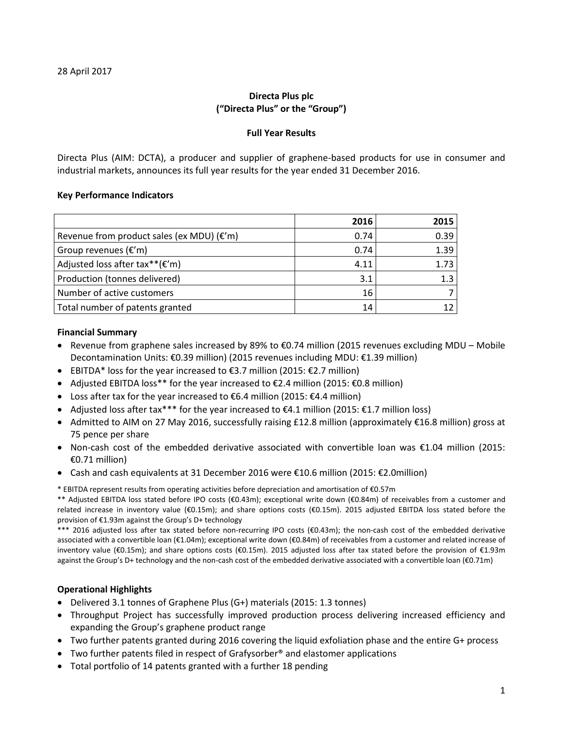# **Directa Plus plc ("Directa Plus" or the "Group")**

## **Full Year Results**

Directa Plus (AIM: DCTA), a producer and supplier of graphene-based products for use in consumer and industrial markets, announces its full year results for the year ended 31 December 2016.

# **Key Performance Indicators**

|                                                       | 2016 | 2015 |
|-------------------------------------------------------|------|------|
| Revenue from product sales (ex MDU) $(\varepsilon'm)$ | 0.74 | 0.39 |
| Group revenues $(\epsilon'm)$                         | 0.74 | 1.39 |
| Adjusted loss after tax** $(E'm)$                     | 4.11 | 1.73 |
| Production (tonnes delivered)                         | 3.1  | 1.3  |
| Number of active customers                            | 16   |      |
| Total number of patents granted                       | 14   |      |

## **Financial Summary**

- Revenue from graphene sales increased by 89% to €0.74 million (2015 revenues excluding MDU Mobile Decontamination Units: €0.39 million) (2015 revenues including MDU: €1.39 million)
- EBITDA\* loss for the year increased to €3.7 million (2015: €2.7 million)
- Adjusted EBITDA loss\*\* for the year increased to  $\epsilon$ 2.4 million (2015:  $\epsilon$ 0.8 million)
- Loss after tax for the year increased to  $\epsilon$ 6.4 million (2015:  $\epsilon$ 4.4 million)
- Adjusted loss after tax\*\*\* for the year increased to €4.1 million (2015: €1.7 million loss)
- Admitted to AIM on 27 May 2016, successfully raising £12.8 million (approximately €16.8 million) gross at 75 pence per share
- Non-cash cost of the embedded derivative associated with convertible loan was €1.04 million (2015: €0.71 million)
- Cash and cash equivalents at 31 December 2016 were €10.6 million (2015: €2.0million)
- \* EBITDA represent results from operating activities before depreciation and amortisation of €0.57m

\*\* Adjusted EBITDA loss stated before IPO costs (€0.43m); exceptional write down (€0.84m) of receivables from a customer and related increase in inventory value (€0.15m); and share options costs (€0.15m). 2015 adjusted EBITDA loss stated before the provision of €1.93m against the Group's D+ technology

\*\*\* 2016 adjusted loss after tax stated before non-recurring IPO costs (€0.43m); the non-cash cost of the embedded derivative associated with a convertible loan (€1.04m); exceptional write down (€0.84m) of receivables from a customer and related increase of inventory value (€0.15m); and share options costs (€0.15m). 2015 adjusted loss after tax stated before the provision of €1.93m against the Group's D+ technology and the non-cash cost of the embedded derivative associated with a convertible loan (€0.71m)

# **Operational Highlights**

- Delivered 3.1 tonnes of Graphene Plus (G+) materials (2015: 1.3 tonnes)
- Throughput Project has successfully improved production process delivering increased efficiency and expanding the Group's graphene product range
- Two further patents granted during 2016 covering the liquid exfoliation phase and the entire G+ process
- Two further patents filed in respect of Grafysorber<sup>®</sup> and elastomer applications
- Total portfolio of 14 patents granted with a further 18 pending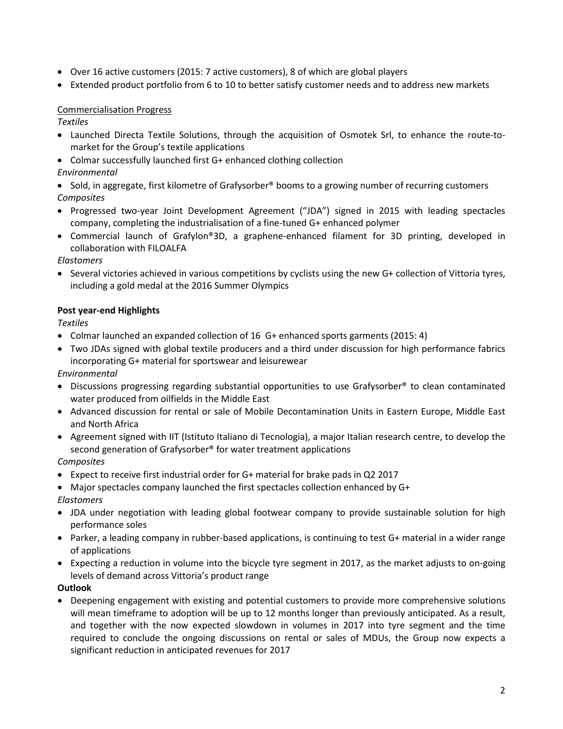- Over 16 active customers (2015: 7 active customers), 8 of which are global players
- Extended product portfolio from 6 to 10 to better satisfy customer needs and to address new markets

# Commercialisation Progress

*Textiles*

- Launched Directa Textile Solutions, through the acquisition of Osmotek Srl, to enhance the route-tomarket for the Group's textile applications
- Colmar successfully launched first G+ enhanced clothing collection *Environmental*
- Sold, in aggregate, first kilometre of Grafysorber<sup>®</sup> booms to a growing number of recurring customers *Composites*
- Progressed two-year Joint Development Agreement ("JDA") signed in 2015 with leading spectacles company, completing the industrialisation of a fine-tuned G+ enhanced polymer
- Commercial launch of Grafylon®3D, a graphene-enhanced filament for 3D printing, developed in collaboration with FILOALFA

*Elastomers*

• Several victories achieved in various competitions by cyclists using the new G+ collection of Vittoria tyres, including a gold medal at the 2016 Summer Olympics

# **Post year-end Highlights**

*Textiles*

- Colmar launched an expanded collection of 16 G+ enhanced sports garments (2015: 4)
- Two JDAs signed with global textile producers and a third under discussion for high performance fabrics incorporating G+ material for sportswear and leisurewear

*Environmental*

- Discussions progressing regarding substantial opportunities to use Grafysorber® to clean contaminated water produced from oilfields in the Middle East
- Advanced discussion for rental or sale of Mobile Decontamination Units in Eastern Europe, Middle East and North Africa
- Agreement signed with IIT (Istituto Italiano di Tecnologia), a major Italian research centre, to develop the second generation of Grafysorber® for water treatment applications

*Composites*

- Expect to receive first industrial order for G+ material for brake pads in Q2 2017
- Major spectacles company launched the first spectacles collection enhanced by G+

*Elastomers*

- JDA under negotiation with leading global footwear company to provide sustainable solution for high performance soles
- Parker, a leading company in rubber-based applications, is continuing to test G+ material in a wider range of applications
- Expecting a reduction in volume into the bicycle tyre segment in 2017, as the market adjusts to on-going levels of demand across Vittoria's product range

# **Outlook**

• Deepening engagement with existing and potential customers to provide more comprehensive solutions will mean timeframe to adoption will be up to 12 months longer than previously anticipated. As a result, and together with the now expected slowdown in volumes in 2017 into tyre segment and the time required to conclude the ongoing discussions on rental or sales of MDUs, the Group now expects a significant reduction in anticipated revenues for 2017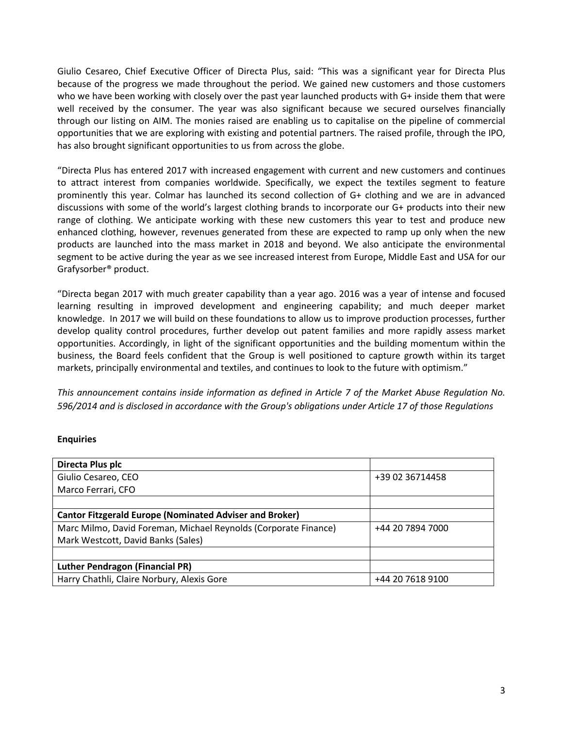Giulio Cesareo, Chief Executive Officer of Directa Plus, said: "This was a significant year for Directa Plus because of the progress we made throughout the period. We gained new customers and those customers who we have been working with closely over the past year launched products with G+ inside them that were well received by the consumer. The year was also significant because we secured ourselves financially through our listing on AIM. The monies raised are enabling us to capitalise on the pipeline of commercial opportunities that we are exploring with existing and potential partners. The raised profile, through the IPO, has also brought significant opportunities to us from across the globe.

"Directa Plus has entered 2017 with increased engagement with current and new customers and continues to attract interest from companies worldwide. Specifically, we expect the textiles segment to feature prominently this year. Colmar has launched its second collection of G+ clothing and we are in advanced discussions with some of the world's largest clothing brands to incorporate our G+ products into their new range of clothing. We anticipate working with these new customers this year to test and produce new enhanced clothing, however, revenues generated from these are expected to ramp up only when the new products are launched into the mass market in 2018 and beyond. We also anticipate the environmental segment to be active during the year as we see increased interest from Europe, Middle East and USA for our Grafysorber® product.

"Directa began 2017 with much greater capability than a year ago. 2016 was a year of intense and focused learning resulting in improved development and engineering capability; and much deeper market knowledge. In 2017 we will build on these foundations to allow us to improve production processes, further develop quality control procedures, further develop out patent families and more rapidly assess market opportunities. Accordingly, in light of the significant opportunities and the building momentum within the business, the Board feels confident that the Group is well positioned to capture growth within its target markets, principally environmental and textiles, and continues to look to the future with optimism."

*This announcement contains inside information as defined in Article 7 of the Market Abuse Regulation No. 596/2014 and is disclosed in accordance with the Group's obligations under Article 17 of those Regulations*

# **Enquiries**

| Directa Plus plc                                                |                  |
|-----------------------------------------------------------------|------------------|
| Giulio Cesareo, CEO                                             | +39 02 36714458  |
| Marco Ferrari, CFO                                              |                  |
|                                                                 |                  |
| <b>Cantor Fitzgerald Europe (Nominated Adviser and Broker)</b>  |                  |
| Marc Milmo, David Foreman, Michael Reynolds (Corporate Finance) | +44 20 7894 7000 |
| Mark Westcott, David Banks (Sales)                              |                  |
|                                                                 |                  |
| <b>Luther Pendragon (Financial PR)</b>                          |                  |
| Harry Chathli, Claire Norbury, Alexis Gore                      | +44 20 7618 9100 |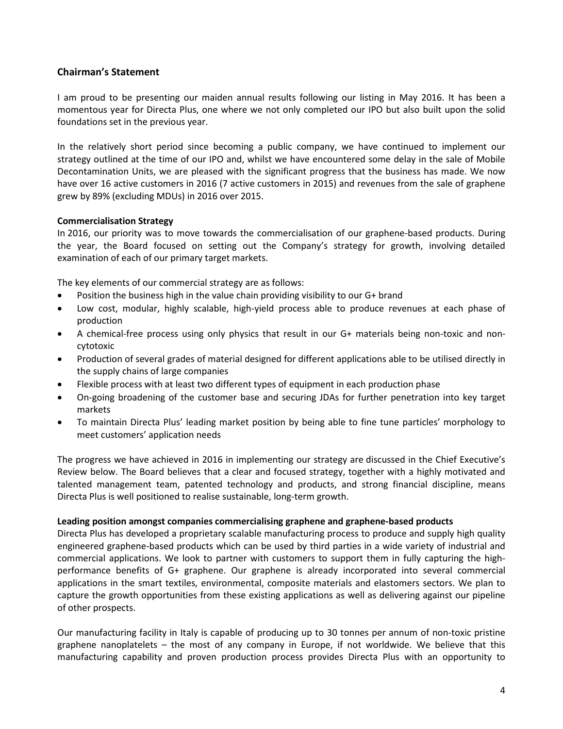# **Chairman's Statement**

I am proud to be presenting our maiden annual results following our listing in May 2016. It has been a momentous year for Directa Plus, one where we not only completed our IPO but also built upon the solid foundations set in the previous year.

In the relatively short period since becoming a public company, we have continued to implement our strategy outlined at the time of our IPO and, whilst we have encountered some delay in the sale of Mobile Decontamination Units, we are pleased with the significant progress that the business has made. We now have over 16 active customers in 2016 (7 active customers in 2015) and revenues from the sale of graphene grew by 89% (excluding MDUs) in 2016 over 2015.

## **Commercialisation Strategy**

In 2016, our priority was to move towards the commercialisation of our graphene-based products. During the year, the Board focused on setting out the Company's strategy for growth, involving detailed examination of each of our primary target markets.

The key elements of our commercial strategy are as follows:

- Position the business high in the value chain providing visibility to our G+ brand
- Low cost, modular, highly scalable, high-yield process able to produce revenues at each phase of production
- A chemical-free process using only physics that result in our G+ materials being non-toxic and noncytotoxic
- Production of several grades of material designed for different applications able to be utilised directly in the supply chains of large companies
- Flexible process with at least two different types of equipment in each production phase
- On-going broadening of the customer base and securing JDAs for further penetration into key target markets
- To maintain Directa Plus' leading market position by being able to fine tune particles' morphology to meet customers' application needs

The progress we have achieved in 2016 in implementing our strategy are discussed in the Chief Executive's Review below. The Board believes that a clear and focused strategy, together with a highly motivated and talented management team, patented technology and products, and strong financial discipline, means Directa Plus is well positioned to realise sustainable, long-term growth.

## **Leading position amongst companies commercialising graphene and graphene-based products**

Directa Plus has developed a proprietary scalable manufacturing process to produce and supply high quality engineered graphene-based products which can be used by third parties in a wide variety of industrial and commercial applications. We look to partner with customers to support them in fully capturing the highperformance benefits of G+ graphene. Our graphene is already incorporated into several commercial applications in the smart textiles, environmental, composite materials and elastomers sectors. We plan to capture the growth opportunities from these existing applications as well as delivering against our pipeline of other prospects.

Our manufacturing facility in Italy is capable of producing up to 30 tonnes per annum of non-toxic pristine graphene nanoplatelets – the most of any company in Europe, if not worldwide. We believe that this manufacturing capability and proven production process provides Directa Plus with an opportunity to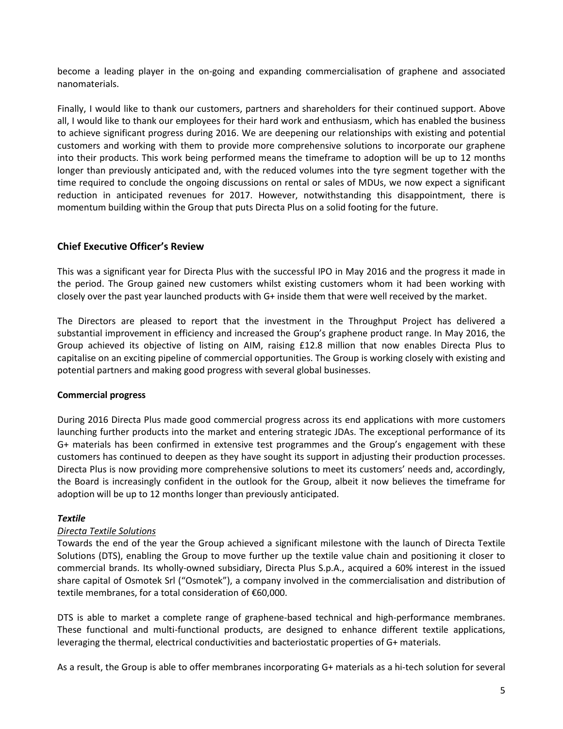become a leading player in the on-going and expanding commercialisation of graphene and associated nanomaterials.

Finally, I would like to thank our customers, partners and shareholders for their continued support. Above all, I would like to thank our employees for their hard work and enthusiasm, which has enabled the business to achieve significant progress during 2016. We are deepening our relationships with existing and potential customers and working with them to provide more comprehensive solutions to incorporate our graphene into their products. This work being performed means the timeframe to adoption will be up to 12 months longer than previously anticipated and, with the reduced volumes into the tyre segment together with the time required to conclude the ongoing discussions on rental or sales of MDUs, we now expect a significant reduction in anticipated revenues for 2017. However, notwithstanding this disappointment, there is momentum building within the Group that puts Directa Plus on a solid footing for the future.

# **Chief Executive Officer's Review**

This was a significant year for Directa Plus with the successful IPO in May 2016 and the progress it made in the period. The Group gained new customers whilst existing customers whom it had been working with closely over the past year launched products with G+ inside them that were well received by the market.

The Directors are pleased to report that the investment in the Throughput Project has delivered a substantial improvement in efficiency and increased the Group's graphene product range. In May 2016, the Group achieved its objective of listing on AIM, raising £12.8 million that now enables Directa Plus to capitalise on an exciting pipeline of commercial opportunities. The Group is working closely with existing and potential partners and making good progress with several global businesses.

# **Commercial progress**

During 2016 Directa Plus made good commercial progress across its end applications with more customers launching further products into the market and entering strategic JDAs. The exceptional performance of its G+ materials has been confirmed in extensive test programmes and the Group's engagement with these customers has continued to deepen as they have sought its support in adjusting their production processes. Directa Plus is now providing more comprehensive solutions to meet its customers' needs and, accordingly, the Board is increasingly confident in the outlook for the Group, albeit it now believes the timeframe for adoption will be up to 12 months longer than previously anticipated.

# *Textile*

# *Directa Textile Solutions*

Towards the end of the year the Group achieved a significant milestone with the launch of Directa Textile Solutions (DTS), enabling the Group to move further up the textile value chain and positioning it closer to commercial brands. Its wholly-owned subsidiary, Directa Plus S.p.A., acquired a 60% interest in the issued share capital of Osmotek Srl ("Osmotek"), a company involved in the commercialisation and distribution of textile membranes, for a total consideration of €60,000.

DTS is able to market a complete range of graphene-based technical and high-performance membranes. These functional and multi-functional products, are designed to enhance different textile applications, leveraging the thermal, electrical conductivities and bacteriostatic properties of G+ materials.

As a result, the Group is able to offer membranes incorporating G+ materials as a hi-tech solution for several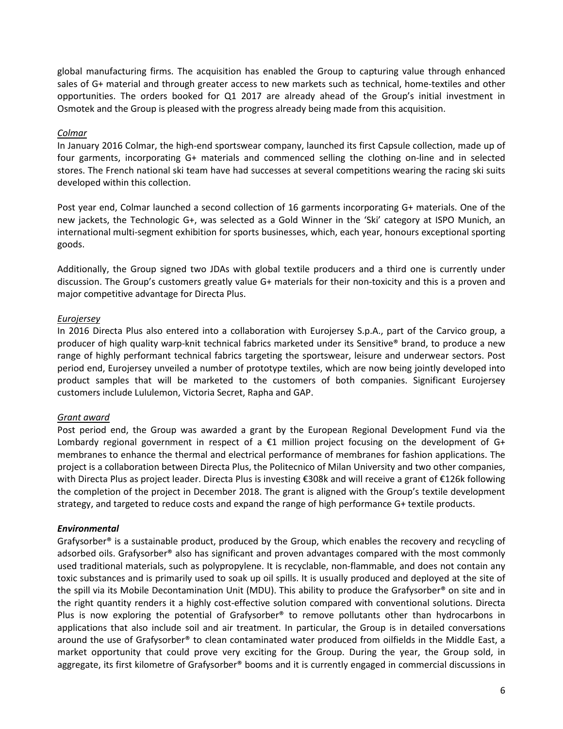global manufacturing firms. The acquisition has enabled the Group to capturing value through enhanced sales of G+ material and through greater access to new markets such as technical, home-textiles and other opportunities. The orders booked for Q1 2017 are already ahead of the Group's initial investment in Osmotek and the Group is pleased with the progress already being made from this acquisition.

# *Colmar*

In January 2016 Colmar, the high-end sportswear company, launched its first Capsule collection, made up of four garments, incorporating G+ materials and commenced selling the clothing on-line and in selected stores. The French national ski team have had successes at several competitions wearing the racing ski suits developed within this collection.

Post year end, Colmar launched a second collection of 16 garments incorporating G+ materials. One of the new jackets, the Technologic G+, was selected as a Gold Winner in the 'Ski' category at ISPO Munich, an international multi-segment exhibition for sports businesses, which, each year, honours exceptional sporting goods.

Additionally, the Group signed two JDAs with global textile producers and a third one is currently under discussion. The Group's customers greatly value G+ materials for their non-toxicity and this is a proven and major competitive advantage for Directa Plus.

# *Eurojersey*

In 2016 Directa Plus also entered into a collaboration with Eurojersey S.p.A., part of the Carvico group, a producer of high quality warp-knit technical fabrics marketed under its Sensitive® brand, to produce a new range of highly performant technical fabrics targeting the sportswear, leisure and underwear sectors. Post period end, Eurojersey unveiled a number of prototype textiles, which are now being jointly developed into product samples that will be marketed to the customers of both companies. Significant Eurojersey customers include Lululemon, Victoria Secret, Rapha and GAP.

# *Grant award*

Post period end, the Group was awarded a grant by the European Regional Development Fund via the Lombardy regional government in respect of a  $\epsilon$ 1 million project focusing on the development of G+ membranes to enhance the thermal and electrical performance of membranes for fashion applications. The project is a collaboration between Directa Plus, the Politecnico of Milan University and two other companies, with Directa Plus as project leader. Directa Plus is investing €308k and will receive a grant of €126k following the completion of the project in December 2018. The grant is aligned with the Group's textile development strategy, and targeted to reduce costs and expand the range of high performance G+ textile products.

# *Environmental*

Grafysorber® is a sustainable product, produced by the Group, which enables the recovery and recycling of adsorbed oils. Grafysorber® also has significant and proven advantages compared with the most commonly used traditional materials, such as polypropylene. It is recyclable, non-flammable, and does not contain any toxic substances and is primarily used to soak up oil spills. It is usually produced and deployed at the site of the spill via its Mobile Decontamination Unit (MDU). This ability to produce the Grafysorber® on site and in the right quantity renders it a highly cost-effective solution compared with conventional solutions. Directa Plus is now exploring the potential of Grafysorber® to remove pollutants other than hydrocarbons in applications that also include soil and air treatment. In particular, the Group is in detailed conversations around the use of Grafysorber® to clean contaminated water produced from oilfields in the Middle East, a market opportunity that could prove very exciting for the Group. During the year, the Group sold, in aggregate, its first kilometre of Grafysorber® booms and it is currently engaged in commercial discussions in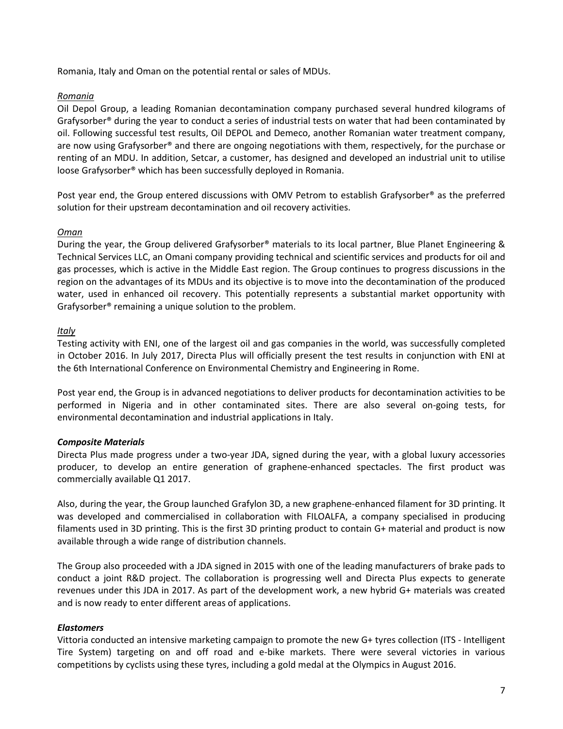Romania, Italy and Oman on the potential rental or sales of MDUs.

# *Romania*

Oil Depol Group, a leading Romanian decontamination company purchased several hundred kilograms of Grafysorber® during the year to conduct a series of industrial tests on water that had been contaminated by oil. Following successful test results, Oil DEPOL and Demeco, another Romanian water treatment company, are now using Grafysorber® and there are ongoing negotiations with them, respectively, for the purchase or renting of an MDU. In addition, Setcar, a customer, has designed and developed an industrial unit to utilise loose Grafysorber® which has been successfully deployed in Romania.

Post year end, the Group entered discussions with OMV Petrom to establish Grafysorber® as the preferred solution for their upstream decontamination and oil recovery activities.

# *Oman*

During the year, the Group delivered Grafysorber® materials to its local partner, Blue Planet Engineering & Technical Services LLC, an Omani company providing technical and scientific services and products for oil and gas processes, which is active in the Middle East region. The Group continues to progress discussions in the region on the advantages of its MDUs and its objective is to move into the decontamination of the produced water, used in enhanced oil recovery. This potentially represents a substantial market opportunity with Grafysorber® remaining a unique solution to the problem.

# *Italy*

Testing activity with ENI, one of the largest oil and gas companies in the world, was successfully completed in October 2016. In July 2017, Directa Plus will officially present the test results in conjunction with ENI at the 6th International Conference on Environmental Chemistry and Engineering in Rome.

Post year end, the Group is in advanced negotiations to deliver products for decontamination activities to be performed in Nigeria and in other contaminated sites. There are also several on-going tests, for environmental decontamination and industrial applications in Italy.

# *Composite Materials*

Directa Plus made progress under a two-year JDA, signed during the year, with a global luxury accessories producer, to develop an entire generation of graphene-enhanced spectacles. The first product was commercially available Q1 2017.

Also, during the year, the Group launched Grafylon 3D, a new graphene-enhanced filament for 3D printing. It was developed and commercialised in collaboration with FILOALFA, a company specialised in producing filaments used in 3D printing. This is the first 3D printing product to contain G+ material and product is now available through a wide range of distribution channels.

The Group also proceeded with a JDA signed in 2015 with one of the leading manufacturers of brake pads to conduct a joint R&D project. The collaboration is progressing well and Directa Plus expects to generate revenues under this JDA in 2017. As part of the development work, a new hybrid G+ materials was created and is now ready to enter different areas of applications.

# *Elastomers*

Vittoria conducted an intensive marketing campaign to promote the new G+ tyres collection (ITS - Intelligent Tire System) targeting on and off road and e-bike markets. There were several victories in various competitions by cyclists using these tyres, including a gold medal at the Olympics in August 2016.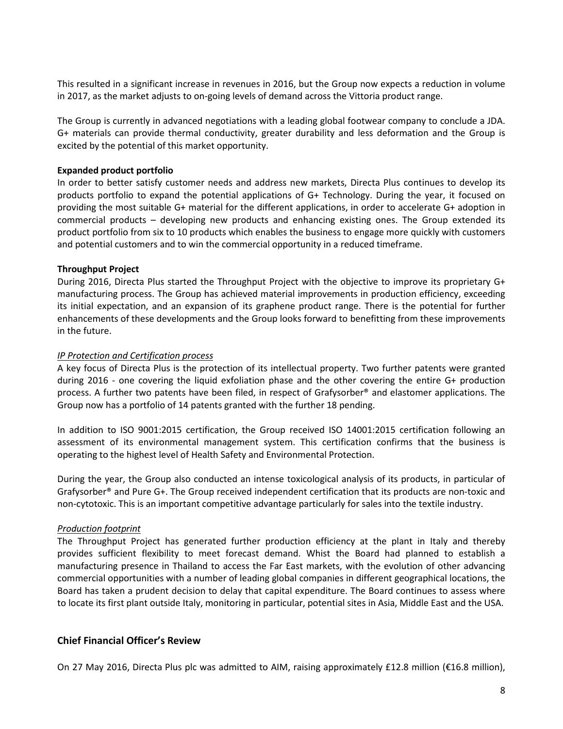This resulted in a significant increase in revenues in 2016, but the Group now expects a reduction in volume in 2017, as the market adjusts to on-going levels of demand across the Vittoria product range.

The Group is currently in advanced negotiations with a leading global footwear company to conclude a JDA. G+ materials can provide thermal conductivity, greater durability and less deformation and the Group is excited by the potential of this market opportunity.

# **Expanded product portfolio**

In order to better satisfy customer needs and address new markets, Directa Plus continues to develop its products portfolio to expand the potential applications of G+ Technology. During the year, it focused on providing the most suitable G+ material for the different applications, in order to accelerate G+ adoption in commercial products – developing new products and enhancing existing ones. The Group extended its product portfolio from six to 10 products which enables the business to engage more quickly with customers and potential customers and to win the commercial opportunity in a reduced timeframe.

# **Throughput Project**

During 2016, Directa Plus started the Throughput Project with the objective to improve its proprietary G+ manufacturing process. The Group has achieved material improvements in production efficiency, exceeding its initial expectation, and an expansion of its graphene product range. There is the potential for further enhancements of these developments and the Group looks forward to benefitting from these improvements in the future.

# *IP Protection and Certification process*

A key focus of Directa Plus is the protection of its intellectual property. Two further patents were granted during 2016 - one covering the liquid exfoliation phase and the other covering the entire G+ production process. A further two patents have been filed, in respect of Grafysorber® and elastomer applications. The Group now has a portfolio of 14 patents granted with the further 18 pending.

In addition to ISO 9001:2015 certification, the Group received ISO 14001:2015 certification following an assessment of its environmental management system. This certification confirms that the business is operating to the highest level of Health Safety and Environmental Protection.

During the year, the Group also conducted an intense toxicological analysis of its products, in particular of Grafysorber® and Pure G+. The Group received independent certification that its products are non-toxic and non-cytotoxic. This is an important competitive advantage particularly for sales into the textile industry.

# *Production footprint*

The Throughput Project has generated further production efficiency at the plant in Italy and thereby provides sufficient flexibility to meet forecast demand. Whist the Board had planned to establish a manufacturing presence in Thailand to access the Far East markets, with the evolution of other advancing commercial opportunities with a number of leading global companies in different geographical locations, the Board has taken a prudent decision to delay that capital expenditure. The Board continues to assess where to locate its first plant outside Italy, monitoring in particular, potential sites in Asia, Middle East and the USA.

# **Chief Financial Officer's Review**

On 27 May 2016, Directa Plus plc was admitted to AIM, raising approximately £12.8 million (€16.8 million),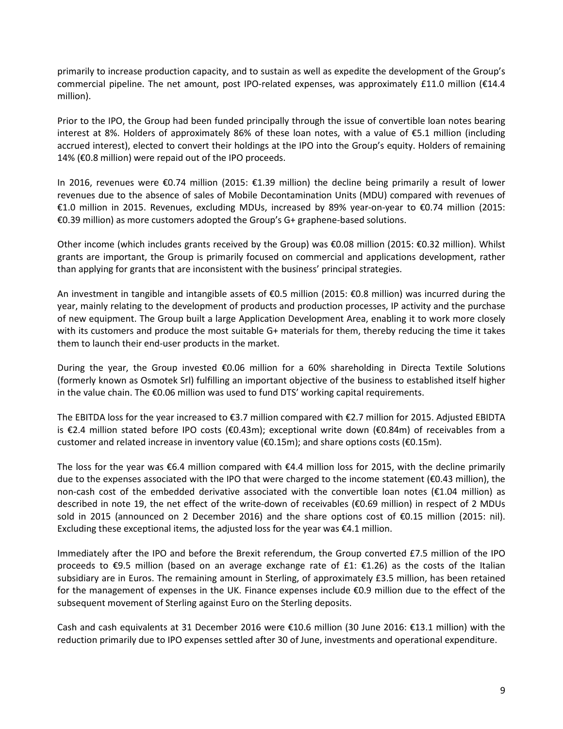primarily to increase production capacity, and to sustain as well as expedite the development of the Group's commercial pipeline. The net amount, post IPO-related expenses, was approximately £11.0 million (€14.4 million).

Prior to the IPO, the Group had been funded principally through the issue of convertible loan notes bearing interest at 8%. Holders of approximately 86% of these loan notes, with a value of €5.1 million (including accrued interest), elected to convert their holdings at the IPO into the Group's equity. Holders of remaining 14% (€0.8 million) were repaid out of the IPO proceeds.

In 2016, revenues were €0.74 million (2015: €1.39 million) the decline being primarily a result of lower revenues due to the absence of sales of Mobile Decontamination Units (MDU) compared with revenues of €1.0 million in 2015. Revenues, excluding MDUs, increased by 89% year-on-year to €0.74 million (2015: €0.39 million) as more customers adopted the Group's G+ graphene-based solutions.

Other income (which includes grants received by the Group) was €0.08 million (2015: €0.32 million). Whilst grants are important, the Group is primarily focused on commercial and applications development, rather than applying for grants that are inconsistent with the business' principal strategies.

An investment in tangible and intangible assets of €0.5 million (2015: €0.8 million) was incurred during the year, mainly relating to the development of products and production processes, IP activity and the purchase of new equipment. The Group built a large Application Development Area, enabling it to work more closely with its customers and produce the most suitable G+ materials for them, thereby reducing the time it takes them to launch their end-user products in the market.

During the year, the Group invested €0.06 million for a 60% shareholding in Directa Textile Solutions (formerly known as Osmotek Srl) fulfilling an important objective of the business to established itself higher in the value chain. The €0.06 million was used to fund DTS' working capital requirements.

The EBITDA loss for the year increased to €3.7 million compared with €2.7 million for 2015. Adjusted EBIDTA is €2.4 million stated before IPO costs (€0.43m); exceptional write down (€0.84m) of receivables from a customer and related increase in inventory value (€0.15m); and share options costs (€0.15m).

The loss for the year was €6.4 million compared with €4.4 million loss for 2015, with the decline primarily due to the expenses associated with the IPO that were charged to the income statement (€0.43 million), the non-cash cost of the embedded derivative associated with the convertible loan notes ( $E1.04$  million) as described in note 19, the net effect of the write-down of receivables (€0.69 million) in respect of 2 MDUs sold in 2015 (announced on 2 December 2016) and the share options cost of €0.15 million (2015: nil). Excluding these exceptional items, the adjusted loss for the year was  $\epsilon$ 4.1 million.

Immediately after the IPO and before the Brexit referendum, the Group converted £7.5 million of the IPO proceeds to  $\epsilon$ 9.5 million (based on an average exchange rate of £1:  $\epsilon$ 1.26) as the costs of the Italian subsidiary are in Euros. The remaining amount in Sterling, of approximately £3.5 million, has been retained for the management of expenses in the UK. Finance expenses include €0.9 million due to the effect of the subsequent movement of Sterling against Euro on the Sterling deposits.

Cash and cash equivalents at 31 December 2016 were €10.6 million (30 June 2016: €13.1 million) with the reduction primarily due to IPO expenses settled after 30 of June, investments and operational expenditure.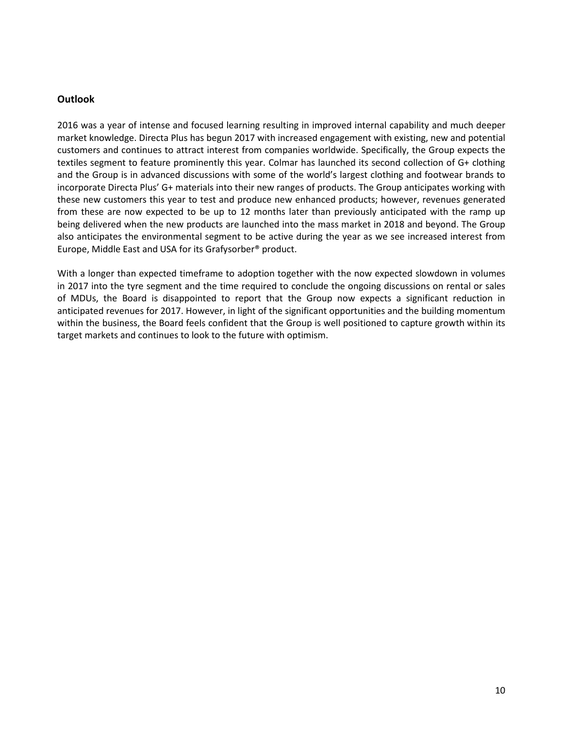# **Outlook**

2016 was a year of intense and focused learning resulting in improved internal capability and much deeper market knowledge. Directa Plus has begun 2017 with increased engagement with existing, new and potential customers and continues to attract interest from companies worldwide. Specifically, the Group expects the textiles segment to feature prominently this year. Colmar has launched its second collection of G+ clothing and the Group is in advanced discussions with some of the world's largest clothing and footwear brands to incorporate Directa Plus' G+ materials into their new ranges of products. The Group anticipates working with these new customers this year to test and produce new enhanced products; however, revenues generated from these are now expected to be up to 12 months later than previously anticipated with the ramp up being delivered when the new products are launched into the mass market in 2018 and beyond. The Group also anticipates the environmental segment to be active during the year as we see increased interest from Europe, Middle East and USA for its Grafysorber® product.

With a longer than expected timeframe to adoption together with the now expected slowdown in volumes in 2017 into the tyre segment and the time required to conclude the ongoing discussions on rental or sales of MDUs, the Board is disappointed to report that the Group now expects a significant reduction in anticipated revenues for 2017. However, in light of the significant opportunities and the building momentum within the business, the Board feels confident that the Group is well positioned to capture growth within its target markets and continues to look to the future with optimism.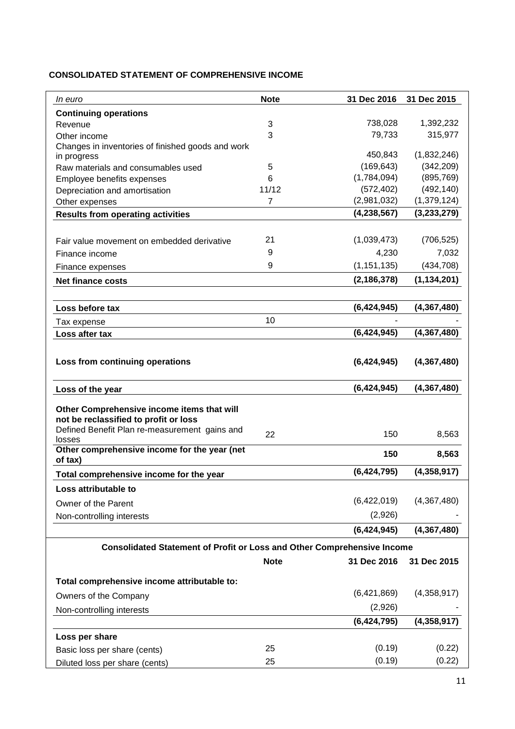# **CONSOLIDATED STATEMENT OF COMPREHENSIVE INCOME**

| <i>In euro</i>                                                                                                                       | <b>Note</b>    | 31 Dec 2016   | 31 Dec 2015   |
|--------------------------------------------------------------------------------------------------------------------------------------|----------------|---------------|---------------|
| <b>Continuing operations</b>                                                                                                         |                |               |               |
| Revenue                                                                                                                              | 3              | 738,028       | 1,392,232     |
| Other income                                                                                                                         | 3              | 79,733        | 315,977       |
| Changes in inventories of finished goods and work                                                                                    |                | 450,843       | (1,832,246)   |
| in progress                                                                                                                          | 5              | (169, 643)    | (342, 209)    |
| Raw materials and consumables used<br>Employee benefits expenses                                                                     | 6              | (1,784,094)   | (895, 769)    |
| Depreciation and amortisation                                                                                                        | 11/12          | (572, 402)    | (492, 140)    |
| Other expenses                                                                                                                       | $\overline{7}$ | (2,981,032)   | (1,379,124)   |
| <b>Results from operating activities</b>                                                                                             |                | (4, 238, 567) | (3, 233, 279) |
|                                                                                                                                      |                |               |               |
| Fair value movement on embedded derivative                                                                                           | 21             | (1,039,473)   | (706, 525)    |
| Finance income                                                                                                                       | 9              | 4,230         | 7,032         |
| Finance expenses                                                                                                                     | 9              | (1, 151, 135) | (434, 708)    |
| <b>Net finance costs</b>                                                                                                             |                | (2, 186, 378) | (1, 134, 201) |
|                                                                                                                                      |                |               |               |
| Loss before tax                                                                                                                      |                | (6,424,945)   | (4,367,480)   |
| Tax expense                                                                                                                          | 10             |               |               |
| Loss after tax                                                                                                                       |                | (6,424,945)   | (4,367,480)   |
|                                                                                                                                      |                |               |               |
| Loss from continuing operations                                                                                                      |                | (6,424,945)   | (4,367,480)   |
| Loss of the year                                                                                                                     |                | (6,424,945)   | (4, 367, 480) |
| Other Comprehensive income items that will<br>not be reclassified to profit or loss<br>Defined Benefit Plan re-measurement gains and | 22             | 150           | 8,563         |
| losses                                                                                                                               |                |               |               |
| Other comprehensive income for the year (net<br>of tax)                                                                              |                | 150           | 8,563         |
| Total comprehensive income for the year                                                                                              |                | (6,424,795)   | (4,358,917)   |
| Loss attributable to                                                                                                                 |                |               |               |
| Owner of the Parent                                                                                                                  |                | (6,422,019)   | (4,367,480)   |
| Non-controlling interests                                                                                                            |                | (2,926)       |               |
|                                                                                                                                      |                | (6,424,945)   | (4,367,480)   |
| <b>Consolidated Statement of Profit or Loss and Other Comprehensive Income</b>                                                       |                |               |               |
|                                                                                                                                      | <b>Note</b>    | 31 Dec 2016   | 31 Dec 2015   |
|                                                                                                                                      |                |               |               |
| Total comprehensive income attributable to:                                                                                          |                |               |               |
| Owners of the Company                                                                                                                |                | (6,421,869)   | (4,358,917)   |
| Non-controlling interests                                                                                                            |                | (2,926)       |               |
|                                                                                                                                      |                | (6,424,795)   | (4,358,917)   |
| Loss per share                                                                                                                       |                |               |               |
| Basic loss per share (cents)                                                                                                         | 25             | (0.19)        | (0.22)        |
| Diluted loss per share (cents)                                                                                                       | 25             | (0.19)        | (0.22)        |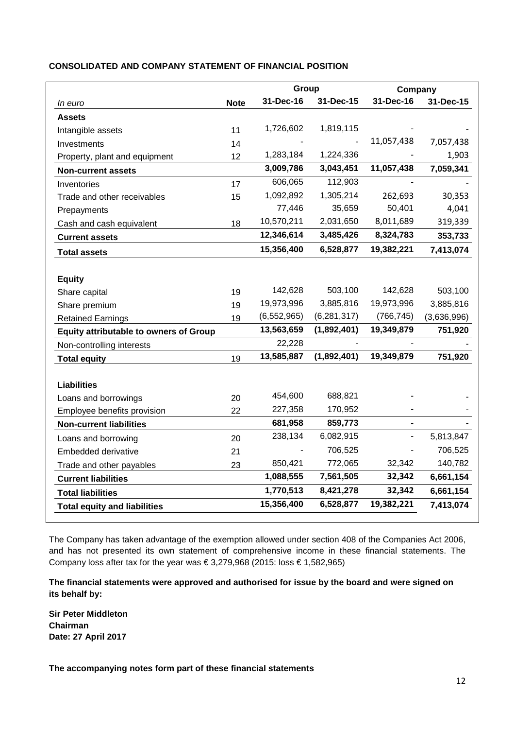|                                               |             | Group         |               | Company    |             |
|-----------------------------------------------|-------------|---------------|---------------|------------|-------------|
| In euro                                       | <b>Note</b> | 31-Dec-16     | 31-Dec-15     | 31-Dec-16  | 31-Dec-15   |
| <b>Assets</b>                                 |             |               |               |            |             |
| Intangible assets                             | 11          | 1,726,602     | 1,819,115     |            |             |
| Investments                                   | 14          |               |               | 11,057,438 | 7,057,438   |
| Property, plant and equipment                 | 12          | 1,283,184     | 1,224,336     |            | 1,903       |
| <b>Non-current assets</b>                     |             | 3,009,786     | 3,043,451     | 11,057,438 | 7,059,341   |
| Inventories                                   | 17          | 606,065       | 112,903       |            |             |
| Trade and other receivables                   | 15          | 1,092,892     | 1,305,214     | 262,693    | 30,353      |
| Prepayments                                   |             | 77,446        | 35,659        | 50,401     | 4,041       |
| Cash and cash equivalent                      | 18          | 10,570,211    | 2,031,650     | 8,011,689  | 319,339     |
| <b>Current assets</b>                         |             | 12,346,614    | 3,485,426     | 8,324,783  | 353,733     |
| <b>Total assets</b>                           |             | 15,356,400    | 6,528,877     | 19,382,221 | 7,413,074   |
|                                               |             |               |               |            |             |
| <b>Equity</b>                                 |             |               |               |            |             |
| Share capital                                 | 19          | 142,628       | 503,100       | 142,628    | 503,100     |
| Share premium                                 | 19          | 19,973,996    | 3,885,816     | 19,973,996 | 3,885,816   |
| <b>Retained Earnings</b>                      | 19          | (6, 552, 965) | (6, 281, 317) | (766, 745) | (3,636,996) |
| <b>Equity attributable to owners of Group</b> |             | 13,563,659    | (1,892,401)   | 19,349,879 | 751,920     |
| Non-controlling interests                     |             | 22,228        |               |            |             |
| <b>Total equity</b>                           | 19          | 13,585,887    | (1,892,401)   | 19,349,879 | 751,920     |
|                                               |             |               |               |            |             |
| <b>Liabilities</b>                            |             |               |               |            |             |
| Loans and borrowings                          | 20          | 454,600       | 688,821       |            |             |
| Employee benefits provision                   | 22          | 227,358       | 170,952       |            |             |
| <b>Non-current liabilities</b>                |             | 681,958       | 859,773       |            |             |
| Loans and borrowing                           | 20          | 238,134       | 6,082,915     |            | 5,813,847   |
| Embedded derivative                           | 21          |               | 706,525       |            | 706,525     |
| Trade and other payables                      | 23          | 850,421       | 772,065       | 32,342     | 140,782     |
| <b>Current liabilities</b>                    |             | 1,088,555     | 7,561,505     | 32,342     | 6,661,154   |
| <b>Total liabilities</b>                      |             | 1,770,513     | 8,421,278     | 32,342     | 6,661,154   |
| <b>Total equity and liabilities</b>           |             | 15,356,400    | 6,528,877     | 19,382,221 | 7,413,074   |

## **CONSOLIDATED AND COMPANY STATEMENT OF FINANCIAL POSITION**

The Company has taken advantage of the exemption allowed under section 408 of the Companies Act 2006, and has not presented its own statement of comprehensive income in these financial statements. The Company loss after tax for the year was  $\in$  3,279,968 (2015: loss  $\in$  1,582,965)

**The financial statements were approved and authorised for issue by the board and were signed on its behalf by:**

**Sir Peter Middleton Chairman Date: 27 April 2017**

**The accompanying notes form part of these financial statements**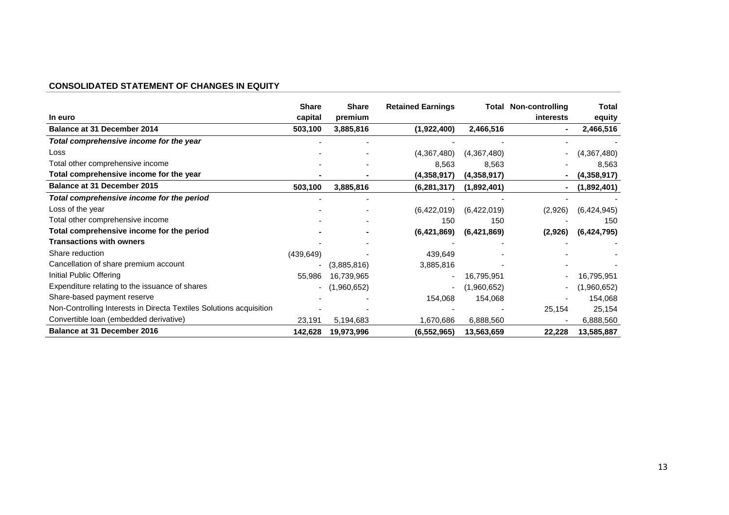# **CONSOLIDATED STATEMENT OF CHANGES IN EQUITY**

|                                                                     | <b>Share</b>             | <b>Share</b> | <b>Retained Earnings</b> |             | <b>Total Non-controlling</b> | Total       |
|---------------------------------------------------------------------|--------------------------|--------------|--------------------------|-------------|------------------------------|-------------|
| In euro                                                             | capital                  | premium      |                          |             | interests                    | equity      |
| <b>Balance at 31 December 2014</b>                                  | 503,100                  | 3,885,816    | (1,922,400)              | 2,466,516   |                              | 2,466,516   |
| Total comprehensive income for the year                             |                          |              |                          |             |                              |             |
| Loss                                                                |                          |              | (4,367,480)              | (4,367,480) |                              | (4,367,480) |
| Total other comprehensive income                                    |                          |              | 8,563                    | 8,563       |                              | 8,563       |
| Total comprehensive income for the year                             |                          |              | (4,358,917)              | (4,358,917) |                              | (4,358,917) |
| <b>Balance at 31 December 2015</b>                                  | 503,100                  | 3,885,816    | (6, 281, 317)            | (1,892,401) |                              | (1,892,401) |
| Total comprehensive income for the period                           |                          |              |                          |             |                              |             |
| Loss of the year                                                    |                          |              | (6,422,019)              | (6,422,019) | (2,926)                      | (6,424,945) |
| Total other comprehensive income                                    |                          |              | 150                      | 150         |                              | 150         |
| Total comprehensive income for the period                           |                          |              | (6,421,869)              | (6,421,869) | (2,926)                      | (6,424,795) |
| <b>Transactions with owners</b>                                     |                          |              |                          |             |                              |             |
| Share reduction                                                     | (439, 649)               |              | 439,649                  |             |                              |             |
| Cancellation of share premium account                               | $\overline{\phantom{a}}$ | (3,885,816)  | 3,885,816                |             |                              |             |
| Initial Public Offering                                             | 55,986                   | 16,739,965   |                          | 16,795,951  |                              | 16,795,951  |
| Expenditure relating to the issuance of shares                      | $\sim$                   | (1,960,652)  |                          | (1,960,652) |                              | (1,960,652) |
| Share-based payment reserve                                         |                          |              | 154,068                  | 154,068     |                              | 154,068     |
| Non-Controlling Interests in Directa Textiles Solutions acquisition |                          |              |                          |             | 25,154                       | 25,154      |
| Convertible Ioan (embedded derivative)                              | 23,191                   | 5,194,683    | 1,670,686                | 6,888,560   |                              | 6,888,560   |
| <b>Balance at 31 December 2016</b>                                  | 142,628                  | 19,973,996   | (6, 552, 965)            | 13,563,659  | 22,228                       | 13,585,887  |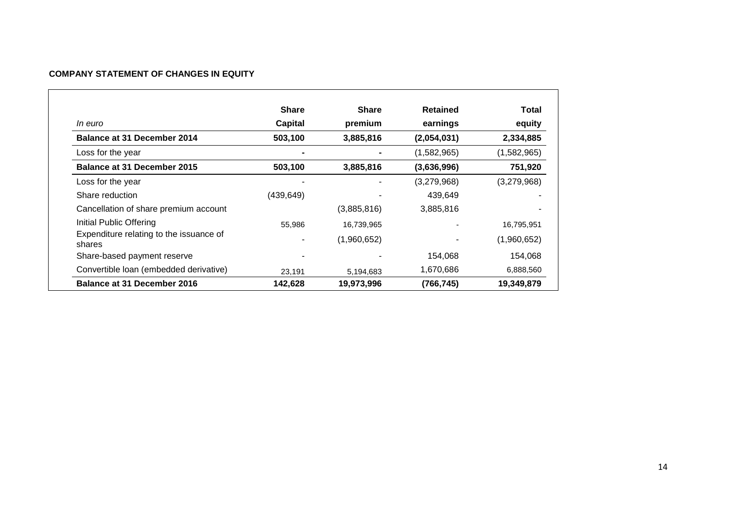# **COMPANY STATEMENT OF CHANGES IN EQUITY**

|                                                   | <b>Share</b>   | <b>Share</b> | Retained    | Total       |
|---------------------------------------------------|----------------|--------------|-------------|-------------|
| <i>In euro</i>                                    | <b>Capital</b> | premium      | earnings    | equity      |
| Balance at 31 December 2014                       | 503,100        | 3,885,816    | (2,054,031) | 2,334,885   |
| Loss for the year                                 |                |              | (1,582,965) | (1,582,965) |
| Balance at 31 December 2015                       | 503,100        | 3,885,816    | (3,636,996) | 751,920     |
| Loss for the year                                 |                |              | (3,279,968) | (3,279,968) |
| Share reduction                                   | (439, 649)     |              | 439,649     |             |
| Cancellation of share premium account             |                | (3,885,816)  | 3,885,816   |             |
| Initial Public Offering                           | 55,986         | 16,739,965   |             | 16,795,951  |
| Expenditure relating to the issuance of<br>shares |                | (1,960,652)  |             | (1,960,652) |
| Share-based payment reserve                       |                |              | 154,068     | 154,068     |
| Convertible Ioan (embedded derivative)            | 23,191         | 5,194,683    | 1,670,686   | 6,888,560   |
| Balance at 31 December 2016                       | 142,628        | 19,973,996   | (766, 745)  | 19,349,879  |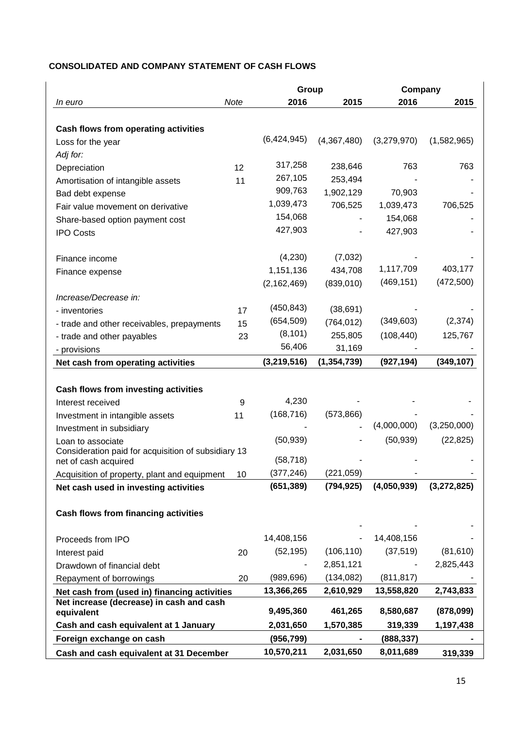# **CONSOLIDATED AND COMPANY STATEMENT OF CASH FLOWS**

|                                                        |      | Group         |               | Company     |             |
|--------------------------------------------------------|------|---------------|---------------|-------------|-------------|
| In euro                                                | Note | 2016          | 2015          | 2016        | 2015        |
|                                                        |      |               |               |             |             |
| Cash flows from operating activities                   |      |               |               |             |             |
| Loss for the year                                      |      | (6,424,945)   | (4,367,480)   | (3,279,970) | (1,582,965) |
| Adj for:                                               |      |               |               |             |             |
| Depreciation                                           | 12   | 317,258       | 238,646       | 763         | 763         |
| Amortisation of intangible assets                      | 11   | 267,105       | 253,494       |             |             |
| Bad debt expense                                       |      | 909,763       | 1,902,129     | 70,903      |             |
| Fair value movement on derivative                      |      | 1,039,473     | 706,525       | 1,039,473   | 706,525     |
| Share-based option payment cost                        |      | 154,068       |               | 154,068     |             |
| <b>IPO Costs</b>                                       |      | 427,903       |               | 427,903     |             |
|                                                        |      |               |               |             |             |
| Finance income                                         |      | (4,230)       | (7,032)       | 1,117,709   | 403,177     |
| Finance expense                                        |      | 1,151,136     | 434,708       |             | (472,500)   |
|                                                        |      | (2, 162, 469) | (839, 010)    | (469, 151)  |             |
| Increase/Decrease in:                                  |      | (450, 843)    |               |             |             |
| - inventories                                          | 17   | (654, 509)    | (38, 691)     | (349,603)   | (2, 374)    |
| - trade and other receivables, prepayments             | 15   | (8, 101)      | (764, 012)    |             |             |
| - trade and other payables                             | 23   | 56,406        | 255,805       | (108, 440)  | 125,767     |
| - provisions                                           |      |               | 31,169        |             |             |
| Net cash from operating activities                     |      | (3,219,516)   | (1, 354, 739) | (927, 194)  | (349, 107)  |
| <b>Cash flows from investing activities</b>            |      |               |               |             |             |
| Interest received                                      | 9    | 4,230         |               |             |             |
| Investment in intangible assets                        | 11   | (168, 716)    | (573,866)     |             |             |
| Investment in subsidiary                               |      |               |               | (4,000,000) | (3,250,000) |
| Loan to associate                                      |      | (50, 939)     |               | (50, 939)   | (22, 825)   |
| Consideration paid for acquisition of subsidiary 13    |      |               |               |             |             |
| net of cash acquired                                   |      | (58, 718)     |               |             |             |
| Acquisition of property, plant and equipment           | 10   | (377, 246)    | (221, 059)    |             |             |
| Net cash used in investing activities                  |      | (651, 389)    | (794, 925)    | (4,050,939) | (3,272,825) |
|                                                        |      |               |               |             |             |
| <b>Cash flows from financing activities</b>            |      |               |               |             |             |
|                                                        |      |               |               |             |             |
| Proceeds from IPO                                      |      | 14,408,156    |               | 14,408,156  |             |
| Interest paid                                          | 20   | (52, 195)     | (106, 110)    | (37, 519)   | (81, 610)   |
| Drawdown of financial debt                             |      |               | 2,851,121     |             | 2,825,443   |
| Repayment of borrowings                                | 20   | (989, 696)    | (134, 082)    | (811, 817)  |             |
| Net cash from (used in) financing activities           |      | 13,366,265    | 2,610,929     | 13,558,820  | 2,743,833   |
| Net increase (decrease) in cash and cash<br>equivalent |      | 9,495,360     | 461,265       | 8,580,687   | (878,099)   |
| Cash and cash equivalent at 1 January                  |      | 2,031,650     | 1,570,385     | 319,339     | 1,197,438   |
| Foreign exchange on cash                               |      | (956, 799)    |               | (888, 337)  |             |
| Cash and cash equivalent at 31 December                |      | 10,570,211    | 2,031,650     | 8,011,689   | 319,339     |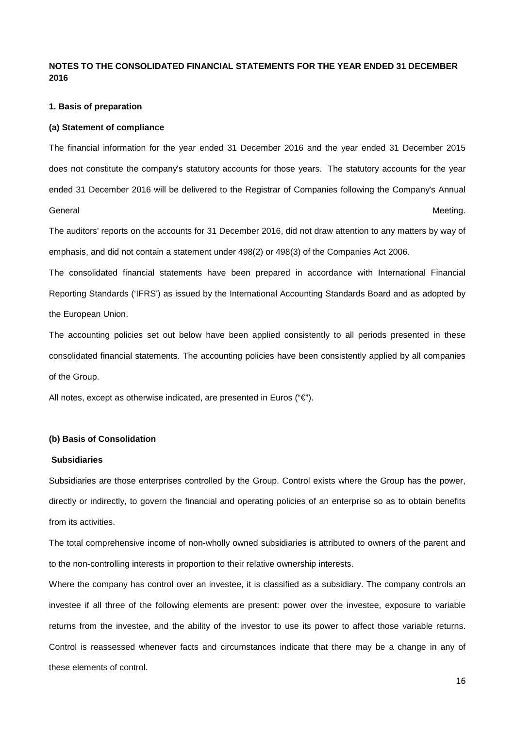# **NOTES TO THE CONSOLIDATED FINANCIAL STATEMENTS FOR THE YEAR ENDED 31 DECEMBER 2016**

#### **1. Basis of preparation**

#### **(a) Statement of compliance**

The financial information for the year ended 31 December 2016 and the year ended 31 December 2015 does not constitute the company's statutory accounts for those years. The statutory accounts for the year ended 31 December 2016 will be delivered to the Registrar of Companies following the Company's Annual General **Meeting.** 

The auditors' reports on the accounts for 31 December 2016, did not draw attention to any matters by way of emphasis, and did not contain a statement under 498(2) or 498(3) of the Companies Act 2006.

The consolidated financial statements have been prepared in accordance with International Financial Reporting Standards ('IFRS') as issued by the International Accounting Standards Board and as adopted by the European Union.

The accounting policies set out below have been applied consistently to all periods presented in these consolidated financial statements. The accounting policies have been consistently applied by all companies of the Group.

All notes, except as otherwise indicated, are presented in Euros (" $\epsilon$ ").

## **(b) Basis of Consolidation**

## **Subsidiaries**

Subsidiaries are those enterprises controlled by the Group. Control exists where the Group has the power, directly or indirectly, to govern the financial and operating policies of an enterprise so as to obtain benefits from its activities.

The total comprehensive income of non-wholly owned subsidiaries is attributed to owners of the parent and to the non-controlling interests in proportion to their relative ownership interests.

Where the company has control over an investee, it is classified as a subsidiary. The company controls an investee if all three of the following elements are present: power over the investee, exposure to variable returns from the investee, and the ability of the investor to use its power to affect those variable returns. Control is reassessed whenever facts and circumstances indicate that there may be a change in any of these elements of control.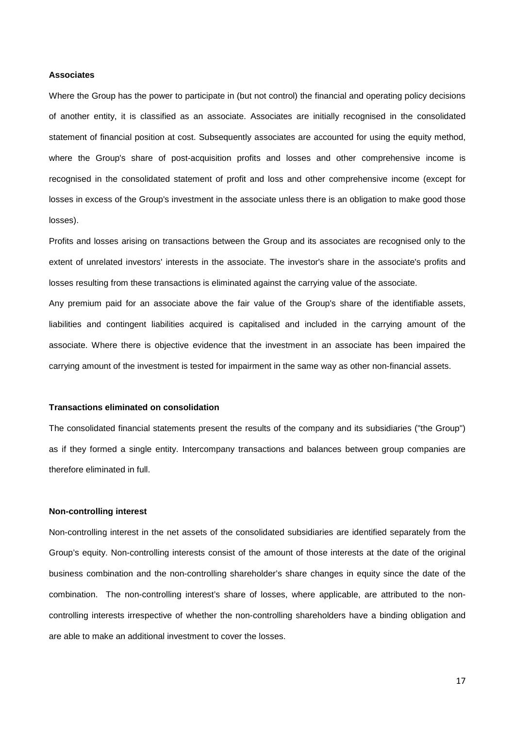### **Associates**

Where the Group has the power to participate in (but not control) the financial and operating policy decisions of another entity, it is classified as an associate. Associates are initially recognised in the consolidated statement of financial position at cost. Subsequently associates are accounted for using the equity method, where the Group's share of post-acquisition profits and losses and other comprehensive income is recognised in the consolidated statement of profit and loss and other comprehensive income (except for losses in excess of the Group's investment in the associate unless there is an obligation to make good those losses).

Profits and losses arising on transactions between the Group and its associates are recognised only to the extent of unrelated investors' interests in the associate. The investor's share in the associate's profits and losses resulting from these transactions is eliminated against the carrying value of the associate.

Any premium paid for an associate above the fair value of the Group's share of the identifiable assets, liabilities and contingent liabilities acquired is capitalised and included in the carrying amount of the associate. Where there is objective evidence that the investment in an associate has been impaired the carrying amount of the investment is tested for impairment in the same way as other non-financial assets.

#### **Transactions eliminated on consolidation**

The consolidated financial statements present the results of the company and its subsidiaries ("the Group") as if they formed a single entity. Intercompany transactions and balances between group companies are therefore eliminated in full.

### **Non-controlling interest**

Non-controlling interest in the net assets of the consolidated subsidiaries are identified separately from the Group's equity. Non-controlling interests consist of the amount of those interests at the date of the original business combination and the non-controlling shareholder's share changes in equity since the date of the combination. The non-controlling interest's share of losses, where applicable, are attributed to the noncontrolling interests irrespective of whether the non-controlling shareholders have a binding obligation and are able to make an additional investment to cover the losses.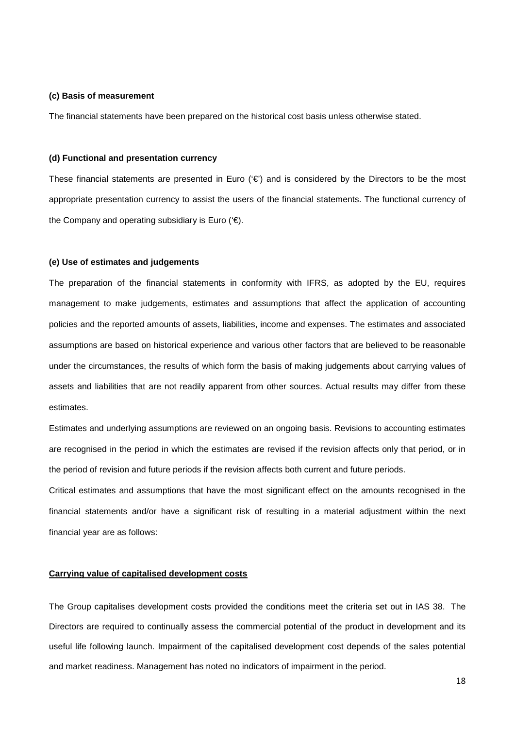### **(c) Basis of measurement**

The financial statements have been prepared on the historical cost basis unless otherwise stated.

### **(d) Functional and presentation currency**

These financial statements are presented in Euro  $(\epsilon)$  and is considered by the Directors to be the most appropriate presentation currency to assist the users of the financial statements. The functional currency of the Company and operating subsidiary is Euro ( $\epsilon$ ).

### **(e) Use of estimates and judgements**

The preparation of the financial statements in conformity with IFRS, as adopted by the EU, requires management to make judgements, estimates and assumptions that affect the application of accounting policies and the reported amounts of assets, liabilities, income and expenses. The estimates and associated assumptions are based on historical experience and various other factors that are believed to be reasonable under the circumstances, the results of which form the basis of making judgements about carrying values of assets and liabilities that are not readily apparent from other sources. Actual results may differ from these estimates.

Estimates and underlying assumptions are reviewed on an ongoing basis. Revisions to accounting estimates are recognised in the period in which the estimates are revised if the revision affects only that period, or in the period of revision and future periods if the revision affects both current and future periods.

Critical estimates and assumptions that have the most significant effect on the amounts recognised in the financial statements and/or have a significant risk of resulting in a material adjustment within the next financial year are as follows:

## **Carrying value of capitalised development costs**

The Group capitalises development costs provided the conditions meet the criteria set out in IAS 38. The Directors are required to continually assess the commercial potential of the product in development and its useful life following launch. Impairment of the capitalised development cost depends of the sales potential and market readiness. Management has noted no indicators of impairment in the period.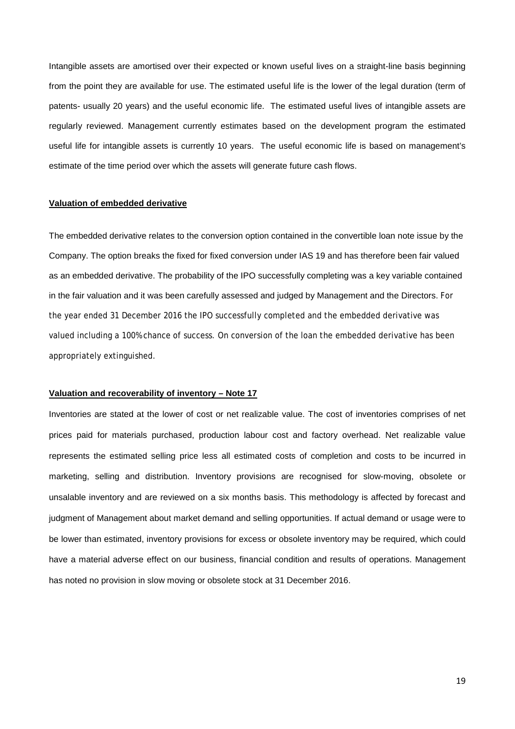Intangible assets are amortised over their expected or known useful lives on a straight-line basis beginning from the point they are available for use. The estimated useful life is the lower of the legal duration (term of patents- usually 20 years) and the useful economic life. The estimated useful lives of intangible assets are regularly reviewed. Management currently estimates based on the development program the estimated useful life for intangible assets is currently 10 years. The useful economic life is based on management's estimate of the time period over which the assets will generate future cash flows.

## **Valuation of embedded derivative**

The embedded derivative relates to the conversion option contained in the convertible loan note issue by the Company. The option breaks the fixed for fixed conversion under IAS 19 and has therefore been fair valued as an embedded derivative. The probability of the IPO successfully completing was a key variable contained in the fair valuation and it was been carefully assessed and judged by Management and the Directors. For the year ended 31 December 2016 the IPO successfully completed and the embedded derivative was valued including a 100% chance of success. On conversion of the loan the embedded derivative has been appropriately extinguished.

### **Valuation and recoverability of inventory – Note 17**

Inventories are stated at the lower of cost or net realizable value. The cost of inventories comprises of net prices paid for materials purchased, production labour cost and factory overhead. Net realizable value represents the estimated selling price less all estimated costs of completion and costs to be incurred in marketing, selling and distribution. Inventory provisions are recognised for slow-moving, obsolete or unsalable inventory and are reviewed on a six months basis. This methodology is affected by forecast and judgment of Management about market demand and selling opportunities. If actual demand or usage were to be lower than estimated, inventory provisions for excess or obsolete inventory may be required, which could have a material adverse effect on our business, financial condition and results of operations. Management has noted no provision in slow moving or obsolete stock at 31 December 2016.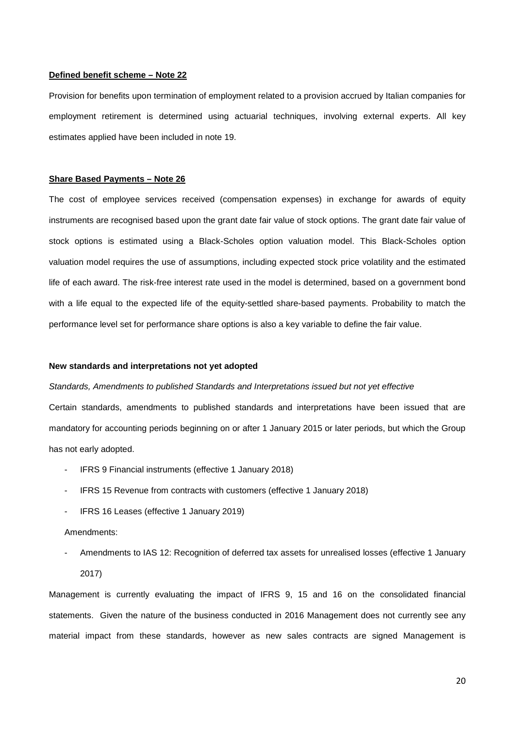### **Defined benefit scheme – Note 22**

Provision for benefits upon termination of employment related to a provision accrued by Italian companies for employment retirement is determined using actuarial techniques, involving external experts. All key estimates applied have been included in note 19.

#### **Share Based Payments – Note 26**

The cost of employee services received (compensation expenses) in exchange for awards of equity instruments are recognised based upon the grant date fair value of stock options. The grant date fair value of stock options is estimated using a Black-Scholes option valuation model. This Black-Scholes option valuation model requires the use of assumptions, including expected stock price volatility and the estimated life of each award. The risk-free interest rate used in the model is determined, based on a government bond with a life equal to the expected life of the equity-settled share-based payments. Probability to match the performance level set for performance share options is also a key variable to define the fair value.

### **New standards and interpretations not yet adopted**

#### *Standards, Amendments to published Standards and Interpretations issued but not yet effective*

Certain standards, amendments to published standards and interpretations have been issued that are mandatory for accounting periods beginning on or after 1 January 2015 or later periods, but which the Group has not early adopted.

- IFRS 9 Financial instruments (effective 1 January 2018)
- IFRS 15 Revenue from contracts with customers (effective 1 January 2018)
- IFRS 16 Leases (effective 1 January 2019)

### Amendments:

- Amendments to IAS 12: Recognition of deferred tax assets for unrealised losses (effective 1 January 2017)

Management is currently evaluating the impact of IFRS 9, 15 and 16 on the consolidated financial statements. Given the nature of the business conducted in 2016 Management does not currently see any material impact from these standards, however as new sales contracts are signed Management is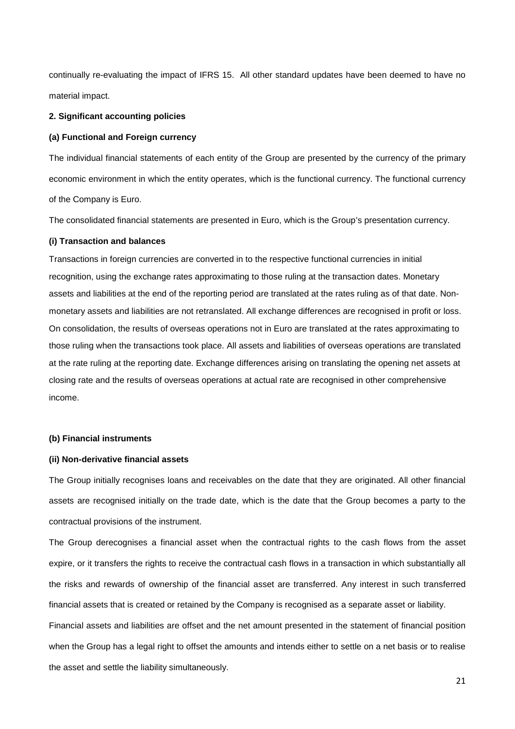continually re-evaluating the impact of IFRS 15. All other standard updates have been deemed to have no material impact.

#### **2. Significant accounting policies**

## **(a) Functional and Foreign currency**

The individual financial statements of each entity of the Group are presented by the currency of the primary economic environment in which the entity operates, which is the functional currency. The functional currency of the Company is Euro.

The consolidated financial statements are presented in Euro, which is the Group's presentation currency.

## **(i) Transaction and balances**

Transactions in foreign currencies are converted in to the respective functional currencies in initial recognition, using the exchange rates approximating to those ruling at the transaction dates. Monetary assets and liabilities at the end of the reporting period are translated at the rates ruling as of that date. Nonmonetary assets and liabilities are not retranslated. All exchange differences are recognised in profit or loss. On consolidation, the results of overseas operations not in Euro are translated at the rates approximating to those ruling when the transactions took place. All assets and liabilities of overseas operations are translated at the rate ruling at the reporting date. Exchange differences arising on translating the opening net assets at closing rate and the results of overseas operations at actual rate are recognised in other comprehensive income.

#### **(b) Financial instruments**

### **(ii) Non-derivative financial assets**

The Group initially recognises loans and receivables on the date that they are originated. All other financial assets are recognised initially on the trade date, which is the date that the Group becomes a party to the contractual provisions of the instrument.

The Group derecognises a financial asset when the contractual rights to the cash flows from the asset expire, or it transfers the rights to receive the contractual cash flows in a transaction in which substantially all the risks and rewards of ownership of the financial asset are transferred. Any interest in such transferred financial assets that is created or retained by the Company is recognised as a separate asset or liability.

Financial assets and liabilities are offset and the net amount presented in the statement of financial position when the Group has a legal right to offset the amounts and intends either to settle on a net basis or to realise the asset and settle the liability simultaneously.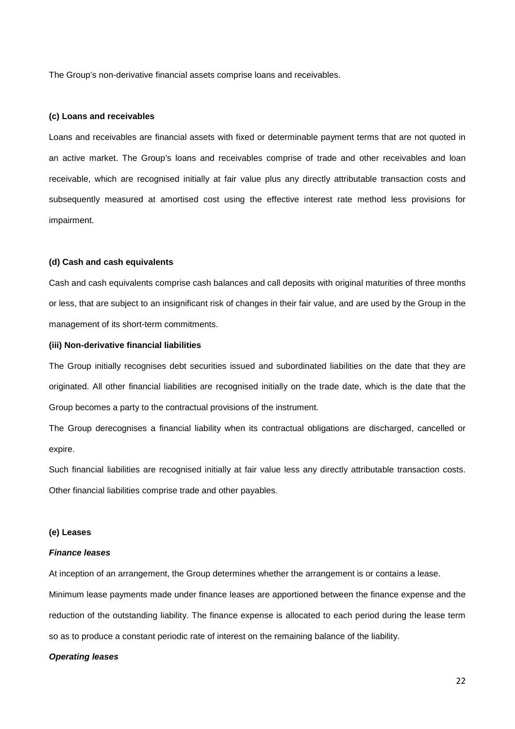The Group's non-derivative financial assets comprise loans and receivables.

#### **(c) Loans and receivables**

Loans and receivables are financial assets with fixed or determinable payment terms that are not quoted in an active market. The Group's loans and receivables comprise of trade and other receivables and loan receivable, which are recognised initially at fair value plus any directly attributable transaction costs and subsequently measured at amortised cost using the effective interest rate method less provisions for impairment.

### **(d) Cash and cash equivalents**

Cash and cash equivalents comprise cash balances and call deposits with original maturities of three months or less, that are subject to an insignificant risk of changes in their fair value, and are used by the Group in the management of its short-term commitments.

### **(iii) Non-derivative financial liabilities**

The Group initially recognises debt securities issued and subordinated liabilities on the date that they are originated. All other financial liabilities are recognised initially on the trade date, which is the date that the Group becomes a party to the contractual provisions of the instrument.

The Group derecognises a financial liability when its contractual obligations are discharged, cancelled or expire.

Such financial liabilities are recognised initially at fair value less any directly attributable transaction costs. Other financial liabilities comprise trade and other payables.

#### **(e) Leases**

#### *Finance leases*

At inception of an arrangement, the Group determines whether the arrangement is or contains a lease. Minimum lease payments made under finance leases are apportioned between the finance expense and the reduction of the outstanding liability. The finance expense is allocated to each period during the lease term so as to produce a constant periodic rate of interest on the remaining balance of the liability.

## *Operating leases*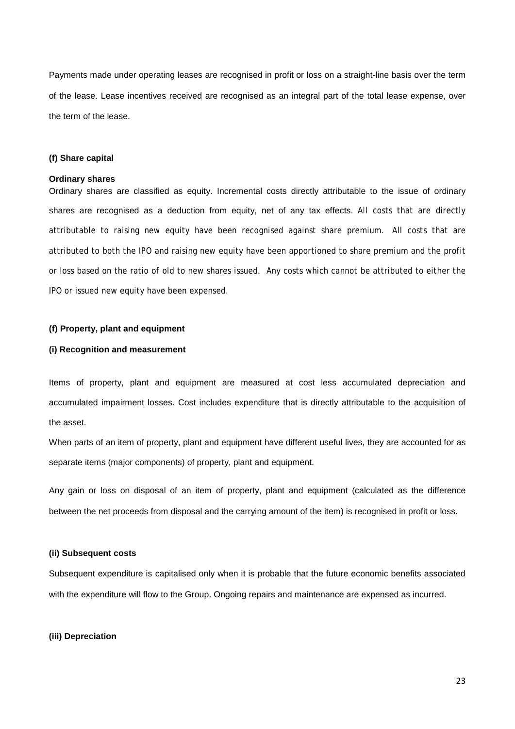Payments made under operating leases are recognised in profit or loss on a straight-line basis over the term of the lease. Lease incentives received are recognised as an integral part of the total lease expense, over the term of the lease.

### **(f) Share capital**

### **Ordinary shares**

Ordinary shares are classified as equity. Incremental costs directly attributable to the issue of ordinary shares are recognised as a deduction from equity, net of any tax effects. All costs that are directly attributable to raising new equity have been recognised against share premium. All costs that are attributed to both the IPO and raising new equity have been apportioned to share premium and the profit or loss based on the ratio of old to new shares issued. Any costs which cannot be attributed to either the IPO or issued new equity have been expensed.

### **(f) Property, plant and equipment**

### **(i) Recognition and measurement**

Items of property, plant and equipment are measured at cost less accumulated depreciation and accumulated impairment losses. Cost includes expenditure that is directly attributable to the acquisition of the asset.

When parts of an item of property, plant and equipment have different useful lives, they are accounted for as separate items (major components) of property, plant and equipment.

Any gain or loss on disposal of an item of property, plant and equipment (calculated as the difference between the net proceeds from disposal and the carrying amount of the item) is recognised in profit or loss.

### **(ii) Subsequent costs**

Subsequent expenditure is capitalised only when it is probable that the future economic benefits associated with the expenditure will flow to the Group. Ongoing repairs and maintenance are expensed as incurred.

### **(iii) Depreciation**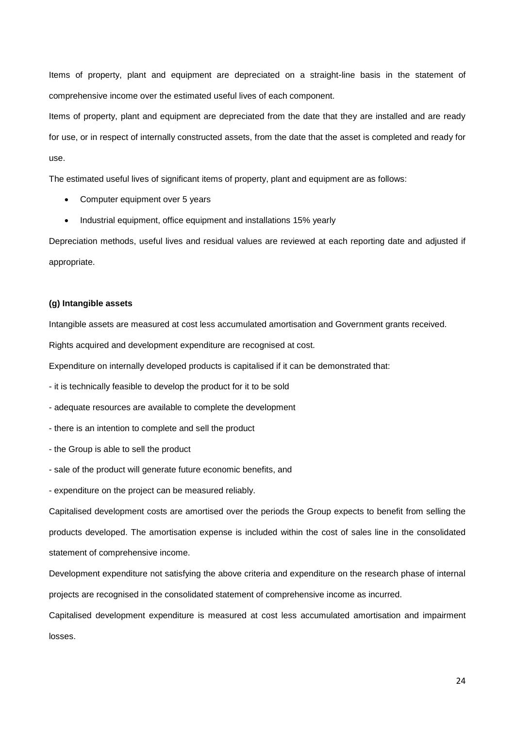Items of property, plant and equipment are depreciated on a straight-line basis in the statement of comprehensive income over the estimated useful lives of each component.

Items of property, plant and equipment are depreciated from the date that they are installed and are ready for use, or in respect of internally constructed assets, from the date that the asset is completed and ready for use.

The estimated useful lives of significant items of property, plant and equipment are as follows:

- Computer equipment over 5 years
- Industrial equipment, office equipment and installations 15% yearly

Depreciation methods, useful lives and residual values are reviewed at each reporting date and adjusted if appropriate.

#### **(g) Intangible assets**

Intangible assets are measured at cost less accumulated amortisation and Government grants received.

Rights acquired and development expenditure are recognised at cost.

Expenditure on internally developed products is capitalised if it can be demonstrated that:

- it is technically feasible to develop the product for it to be sold
- adequate resources are available to complete the development
- there is an intention to complete and sell the product
- the Group is able to sell the product
- sale of the product will generate future economic benefits, and
- expenditure on the project can be measured reliably.

Capitalised development costs are amortised over the periods the Group expects to benefit from selling the products developed. The amortisation expense is included within the cost of sales line in the consolidated statement of comprehensive income.

Development expenditure not satisfying the above criteria and expenditure on the research phase of internal projects are recognised in the consolidated statement of comprehensive income as incurred.

Capitalised development expenditure is measured at cost less accumulated amortisation and impairment losses.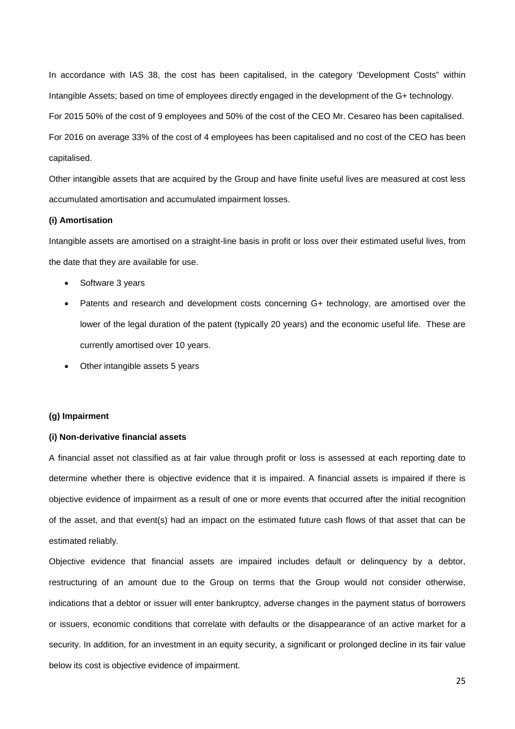In accordance with IAS 38, the cost has been capitalised, in the category 'Development Costs" within Intangible Assets; based on time of employees directly engaged in the development of the G+ technology. For 2015 50% of the cost of 9 employees and 50% of the cost of the CEO Mr. Cesareo has been capitalised. For 2016 on average 33% of the cost of 4 employees has been capitalised and no cost of the CEO has been capitalised.

Other intangible assets that are acquired by the Group and have finite useful lives are measured at cost less accumulated amortisation and accumulated impairment losses.

#### **(i) Amortisation**

Intangible assets are amortised on a straight-line basis in profit or loss over their estimated useful lives, from the date that they are available for use.

- Software 3 years
- Patents and research and development costs concerning G+ technology, are amortised over the lower of the legal duration of the patent (typically 20 years) and the economic useful life. These are currently amortised over 10 years.
- Other intangible assets 5 years

#### **(g) Impairment**

#### **(i) Non-derivative financial assets**

A financial asset not classified as at fair value through profit or loss is assessed at each reporting date to determine whether there is objective evidence that it is impaired. A financial assets is impaired if there is objective evidence of impairment as a result of one or more events that occurred after the initial recognition of the asset, and that event(s) had an impact on the estimated future cash flows of that asset that can be estimated reliably.

Objective evidence that financial assets are impaired includes default or delinquency by a debtor, restructuring of an amount due to the Group on terms that the Group would not consider otherwise, indications that a debtor or issuer will enter bankruptcy, adverse changes in the payment status of borrowers or issuers, economic conditions that correlate with defaults or the disappearance of an active market for a security. In addition, for an investment in an equity security, a significant or prolonged decline in its fair value below its cost is objective evidence of impairment.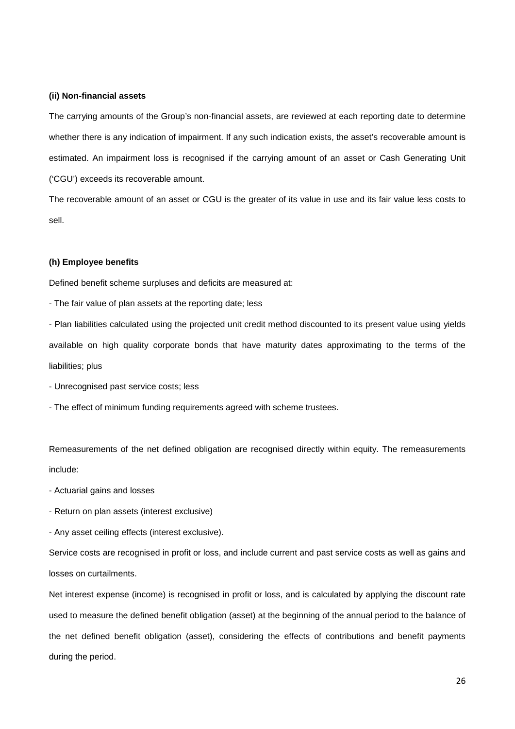### **(ii) Non-financial assets**

The carrying amounts of the Group's non-financial assets, are reviewed at each reporting date to determine whether there is any indication of impairment. If any such indication exists, the asset's recoverable amount is estimated. An impairment loss is recognised if the carrying amount of an asset or Cash Generating Unit ('CGU') exceeds its recoverable amount.

The recoverable amount of an asset or CGU is the greater of its value in use and its fair value less costs to sell.

### **(h) Employee benefits**

Defined benefit scheme surpluses and deficits are measured at:

- The fair value of plan assets at the reporting date; less

- Plan liabilities calculated using the projected unit credit method discounted to its present value using yields available on high quality corporate bonds that have maturity dates approximating to the terms of the liabilities; plus

- Unrecognised past service costs; less
- The effect of minimum funding requirements agreed with scheme trustees.

Remeasurements of the net defined obligation are recognised directly within equity. The remeasurements include:

- Actuarial gains and losses
- Return on plan assets (interest exclusive)
- Any asset ceiling effects (interest exclusive).

Service costs are recognised in profit or loss, and include current and past service costs as well as gains and losses on curtailments.

Net interest expense (income) is recognised in profit or loss, and is calculated by applying the discount rate used to measure the defined benefit obligation (asset) at the beginning of the annual period to the balance of the net defined benefit obligation (asset), considering the effects of contributions and benefit payments during the period.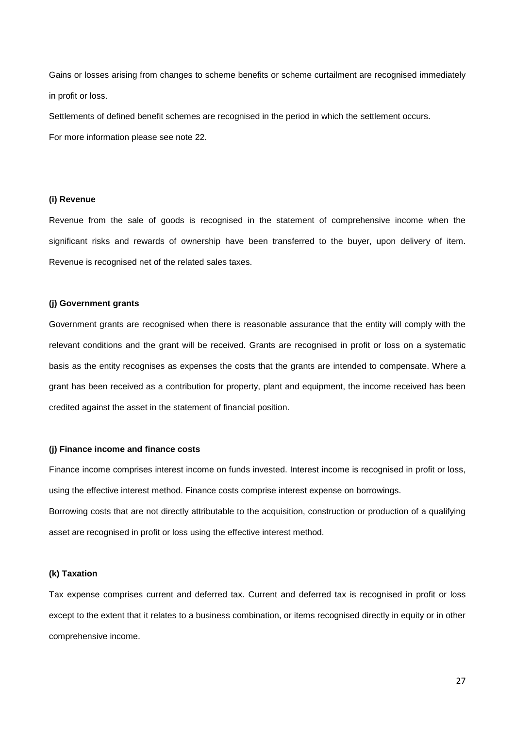Gains or losses arising from changes to scheme benefits or scheme curtailment are recognised immediately in profit or loss.

Settlements of defined benefit schemes are recognised in the period in which the settlement occurs. For more information please see note 22.

## **(i) Revenue**

Revenue from the sale of goods is recognised in the statement of comprehensive income when the significant risks and rewards of ownership have been transferred to the buyer, upon delivery of item. Revenue is recognised net of the related sales taxes.

#### **(j) Government grants**

Government grants are recognised when there is reasonable assurance that the entity will comply with the relevant conditions and the grant will be received. Grants are recognised in profit or loss on a systematic basis as the entity recognises as expenses the costs that the grants are intended to compensate. Where a grant has been received as a contribution for property, plant and equipment, the income received has been credited against the asset in the statement of financial position.

#### **(j) Finance income and finance costs**

Finance income comprises interest income on funds invested. Interest income is recognised in profit or loss, using the effective interest method. Finance costs comprise interest expense on borrowings.

Borrowing costs that are not directly attributable to the acquisition, construction or production of a qualifying asset are recognised in profit or loss using the effective interest method.

### **(k) Taxation**

Tax expense comprises current and deferred tax. Current and deferred tax is recognised in profit or loss except to the extent that it relates to a business combination, or items recognised directly in equity or in other comprehensive income.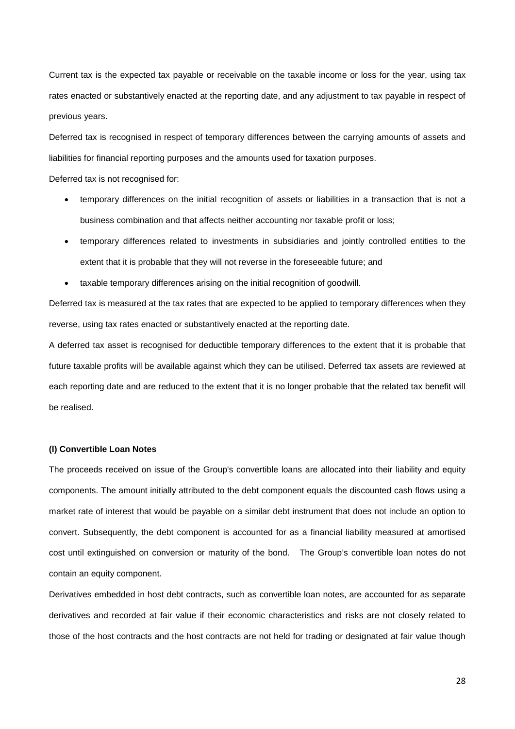Current tax is the expected tax payable or receivable on the taxable income or loss for the year, using tax rates enacted or substantively enacted at the reporting date, and any adjustment to tax payable in respect of previous years.

Deferred tax is recognised in respect of temporary differences between the carrying amounts of assets and liabilities for financial reporting purposes and the amounts used for taxation purposes.

Deferred tax is not recognised for:

- temporary differences on the initial recognition of assets or liabilities in a transaction that is not a business combination and that affects neither accounting nor taxable profit or loss;
- temporary differences related to investments in subsidiaries and jointly controlled entities to the extent that it is probable that they will not reverse in the foreseeable future; and
- taxable temporary differences arising on the initial recognition of goodwill.

Deferred tax is measured at the tax rates that are expected to be applied to temporary differences when they reverse, using tax rates enacted or substantively enacted at the reporting date.

A deferred tax asset is recognised for deductible temporary differences to the extent that it is probable that future taxable profits will be available against which they can be utilised. Deferred tax assets are reviewed at each reporting date and are reduced to the extent that it is no longer probable that the related tax benefit will be realised.

#### **(l) Convertible Loan Notes**

The proceeds received on issue of the Group's convertible loans are allocated into their liability and equity components. The amount initially attributed to the debt component equals the discounted cash flows using a market rate of interest that would be payable on a similar debt instrument that does not include an option to convert. Subsequently, the debt component is accounted for as a financial liability measured at amortised cost until extinguished on conversion or maturity of the bond. The Group's convertible loan notes do not contain an equity component.

Derivatives embedded in host debt contracts, such as convertible loan notes, are accounted for as separate derivatives and recorded at fair value if their economic characteristics and risks are not closely related to those of the host contracts and the host contracts are not held for trading or designated at fair value though

28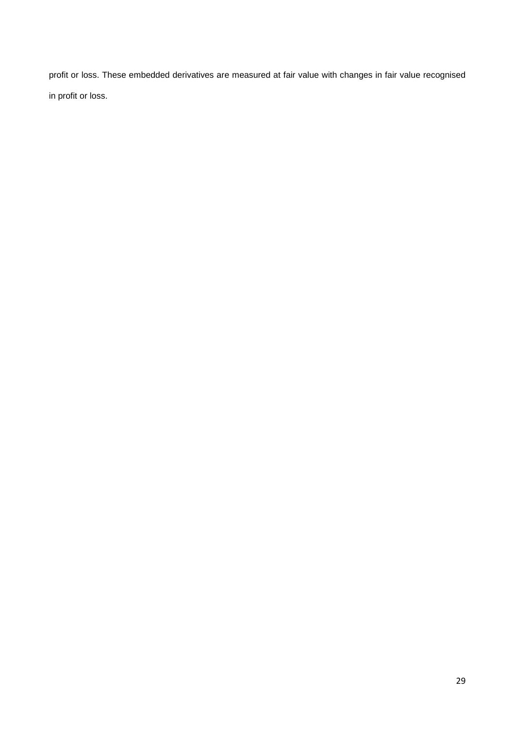profit or loss. These embedded derivatives are measured at fair value with changes in fair value recognised in profit or loss.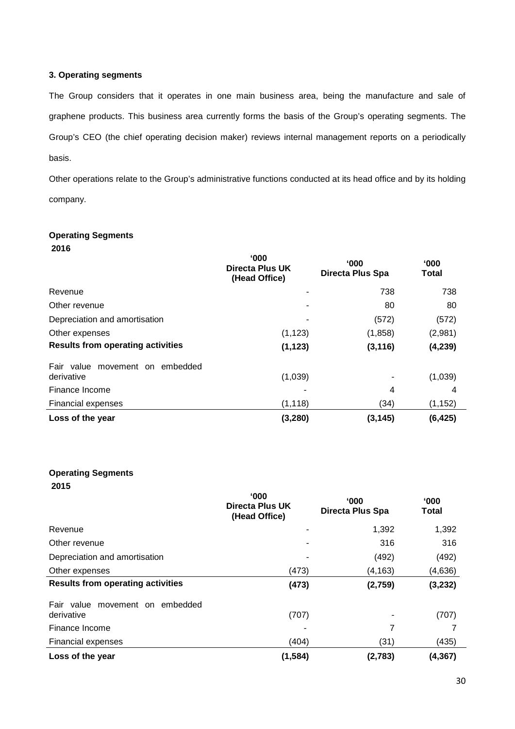# **3. Operating segments**

The Group considers that it operates in one main business area, being the manufacture and sale of graphene products. This business area currently forms the basis of the Group's operating segments. The Group's CEO (the chief operating decision maker) reviews internal management reports on a periodically basis.

Other operations relate to the Group's administrative functions conducted at its head office and by its holding company.

# **Operating Segments**

**2016**

|                                               | $000^{\circ}$<br>Directa Plus UK<br>(Head Office) | $000^{\circ}$<br><b>Directa Plus Spa</b> | $000^{\circ}$<br>Total |
|-----------------------------------------------|---------------------------------------------------|------------------------------------------|------------------------|
| Revenue                                       | ٠                                                 | 738                                      | 738                    |
| Other revenue                                 | ٠                                                 | 80                                       | 80                     |
| Depreciation and amortisation                 | ٠                                                 | (572)                                    | (572)                  |
| Other expenses                                | (1, 123)                                          | (1,858)                                  | (2,981)                |
| <b>Results from operating activities</b>      | (1, 123)                                          | (3, 116)                                 | (4, 239)               |
| Fair value movement on embedded<br>derivative | (1,039)                                           |                                          | (1,039)                |
| Finance Income                                |                                                   | 4                                        | 4                      |
| <b>Financial expenses</b>                     | (1, 118)                                          | (34)                                     | (1, 152)               |
| Loss of the year                              | (3, 280)                                          | (3, 145)                                 | (6, 425)               |

# **Operating Segments**

|                                               | $^{\circ}000$<br>Directa Plus UK<br>(Head Office) | $000^{\circ}$<br>Directa Plus Spa | $000^{\circ}$<br><b>Total</b> |
|-----------------------------------------------|---------------------------------------------------|-----------------------------------|-------------------------------|
| Revenue                                       |                                                   | 1,392                             | 1,392                         |
| Other revenue                                 | ٠                                                 | 316                               | 316                           |
| Depreciation and amortisation                 | ٠                                                 | (492)                             | (492)                         |
| Other expenses                                | (473)                                             | (4, 163)                          | (4,636)                       |
| <b>Results from operating activities</b>      | (473)                                             | (2,759)                           | (3, 232)                      |
| Fair value movement on embedded<br>derivative | (707)                                             |                                   | (707)                         |
| Finance Income                                |                                                   | 7                                 |                               |
| <b>Financial expenses</b>                     | (404)                                             | (31)                              | (435)                         |
| Loss of the year                              | (1, 584)                                          | (2,783)                           | (4, 367)                      |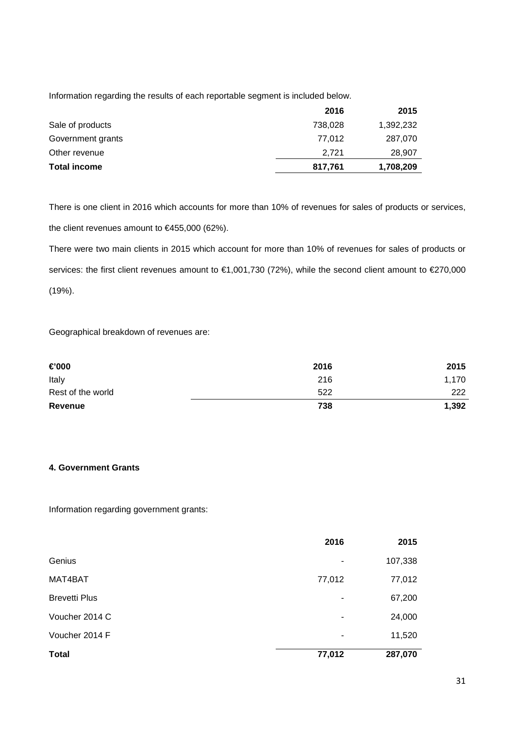Information regarding the results of each reportable segment is included below.

|                     | 2016    | 2015      |
|---------------------|---------|-----------|
| Sale of products    | 738,028 | 1,392,232 |
| Government grants   | 77.012  | 287,070   |
| Other revenue       | 2.721   | 28,907    |
| <b>Total income</b> | 817,761 | 1,708,209 |

There is one client in 2016 which accounts for more than 10% of revenues for sales of products or services, the client revenues amount to €455,000 (62%).

There were two main clients in 2015 which account for more than 10% of revenues for sales of products or services: the first client revenues amount to €1,001,730 (72%), while the second client amount to €270,000 (19%).

Geographical breakdown of revenues are:

| €000              | 2016 | 2015  |
|-------------------|------|-------|
| Italy             | 216  | 1,170 |
| Rest of the world | 522  | 222   |
| <b>Revenue</b>    | 738  | 1,392 |

# **4. Government Grants**

Information regarding government grants:

|                      | 2016                     | 2015    |
|----------------------|--------------------------|---------|
| Genius               | $\overline{\phantom{a}}$ | 107,338 |
| MAT4BAT              | 77,012                   | 77,012  |
| <b>Brevetti Plus</b> | ٠                        | 67,200  |
| Voucher 2014 C       | $\overline{\phantom{a}}$ | 24,000  |
| Voucher 2014 F       | $\overline{\phantom{a}}$ | 11,520  |
| <b>Total</b>         | 77,012                   | 287,070 |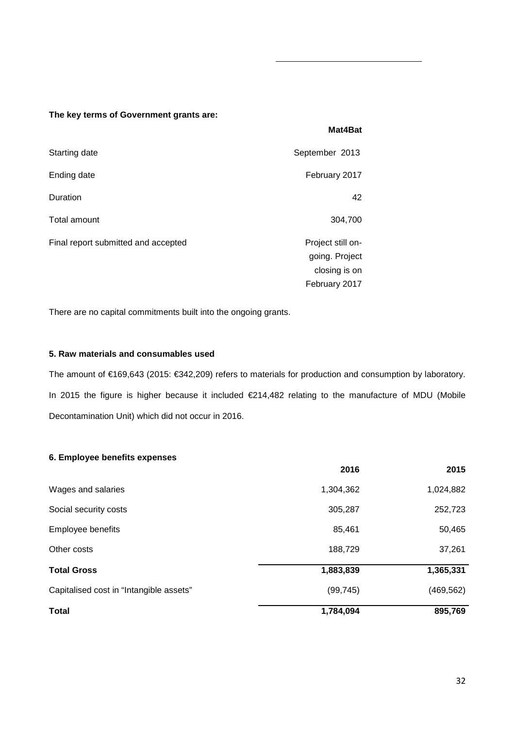## **The key terms of Government grants are:**

| Starting date                       | September 2013                      |
|-------------------------------------|-------------------------------------|
| Ending date                         | February 2017                       |
| Duration                            | 42                                  |
| Total amount                        | 304,700                             |
| Final report submitted and accepted | Project still on-<br>going. Project |
|                                     | closing is on                       |
|                                     | February 2017                       |

There are no capital commitments built into the ongoing grants.

# **5. Raw materials and consumables used**

The amount of €169,643 (2015: €342,209) refers to materials for production and consumption by laboratory. In 2015 the figure is higher because it included €214,482 relating to the manufacture of MDU (Mobile Decontamination Unit) which did not occur in 2016.

**Mat4Bat**

# **6. Employee benefits expenses**

|                                         | 2016      | 2015       |
|-----------------------------------------|-----------|------------|
| Wages and salaries                      | 1,304,362 | 1,024,882  |
| Social security costs                   | 305,287   | 252,723    |
| Employee benefits                       | 85,461    | 50,465     |
| Other costs                             | 188,729   | 37,261     |
| <b>Total Gross</b>                      | 1,883,839 | 1,365,331  |
| Capitalised cost in "Intangible assets" | (99, 745) | (469, 562) |
| <b>Total</b>                            | 1,784,094 | 895,769    |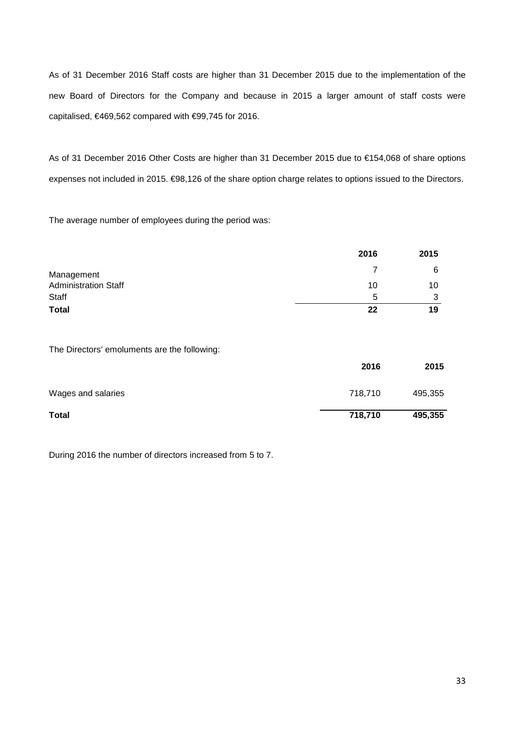As of 31 December 2016 Staff costs are higher than 31 December 2015 due to the implementation of the new Board of Directors for the Company and because in 2015 a larger amount of staff costs were capitalised, €469,562 compared with €99,745 for 2016.

As of 31 December 2016 Other Costs are higher than 31 December 2015 due to €154,068 of share options expenses not included in 2015. €98,126 of the share option charge relates to options issued to the Directors.

The average number of employees during the period was:

|                             | 2016 | 2015 |
|-----------------------------|------|------|
| Management                  |      | 6    |
| <b>Administration Staff</b> | 10   | 10   |
| Staff                       | 5    | ◠    |
| <b>Total</b>                | 22   | 19   |

The Directors' emoluments are the following:

|                    | 2016    | 2015    |
|--------------------|---------|---------|
| Wages and salaries | 718,710 | 495,355 |
| <b>Total</b>       | 718,710 | 495,355 |

During 2016 the number of directors increased from 5 to 7.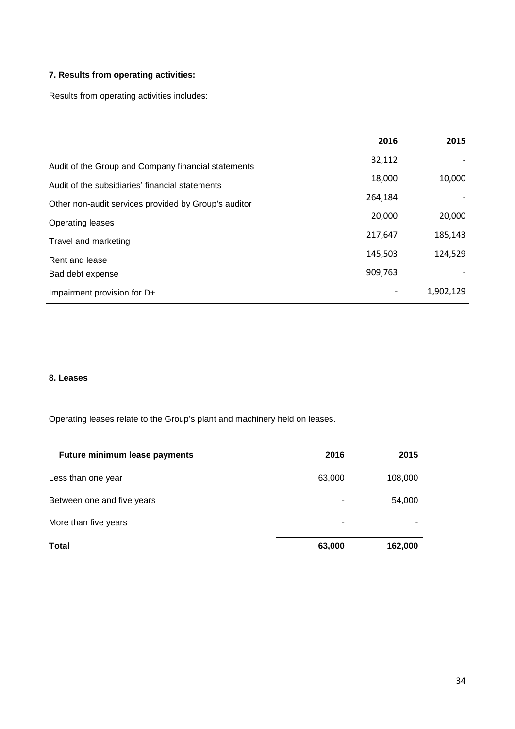# **7. Results from operating activities:**

Results from operating activities includes:

|                                                      | 2016    | 2015      |
|------------------------------------------------------|---------|-----------|
| Audit of the Group and Company financial statements  | 32,112  |           |
| Audit of the subsidiaries' financial statements      | 18,000  | 10,000    |
| Other non-audit services provided by Group's auditor | 264,184 |           |
| <b>Operating leases</b>                              | 20,000  | 20,000    |
| Travel and marketing                                 | 217,647 | 185,143   |
| Rent and lease                                       | 145,503 | 124,529   |
| Bad debt expense                                     | 909,763 |           |
| Impairment provision for D+                          |         | 1,902,129 |

# **8. Leases**

Operating leases relate to the Group's plant and machinery held on leases.

| <b>Future minimum lease payments</b> | 2016   | 2015    |
|--------------------------------------|--------|---------|
| Less than one year                   | 63,000 | 108,000 |
| Between one and five years           | -      | 54,000  |
| More than five years                 | ۰      |         |
| <b>Total</b>                         | 63,000 | 162,000 |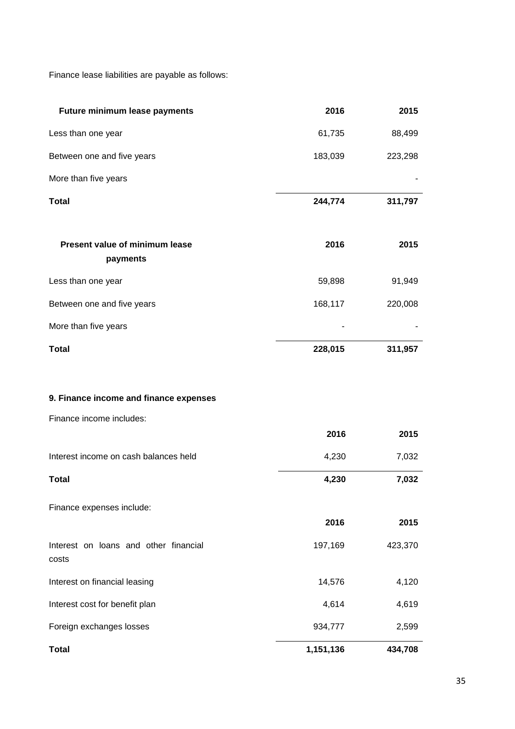Finance lease liabilities are payable as follows:

| Future minimum lease payments                  | 2016      | 2015    |
|------------------------------------------------|-----------|---------|
| Less than one year                             | 61,735    | 88,499  |
| Between one and five years                     | 183,039   | 223,298 |
| More than five years                           |           |         |
| <b>Total</b>                                   | 244,774   | 311,797 |
| Present value of minimum lease<br>payments     | 2016      | 2015    |
| Less than one year                             | 59,898    | 91,949  |
| Between one and five years                     | 168,117   | 220,008 |
| More than five years                           |           |         |
| <b>Total</b>                                   | 228,015   | 311,957 |
|                                                |           |         |
| 9. Finance income and finance expenses         |           |         |
| Finance income includes:                       |           |         |
|                                                | 2016      | 2015    |
| Interest income on cash balances held          | 4,230     | 7,032   |
| <b>Total</b>                                   | 4,230     | 7,032   |
| Finance expenses include:                      |           |         |
|                                                | 2016      | 2015    |
| Interest on loans and other financial<br>costs | 197,169   | 423,370 |
| Interest on financial leasing                  | 14,576    | 4,120   |
| Interest cost for benefit plan                 | 4,614     | 4,619   |
| Foreign exchanges losses                       | 934,777   | 2,599   |
| <b>Total</b>                                   | 1,151,136 | 434,708 |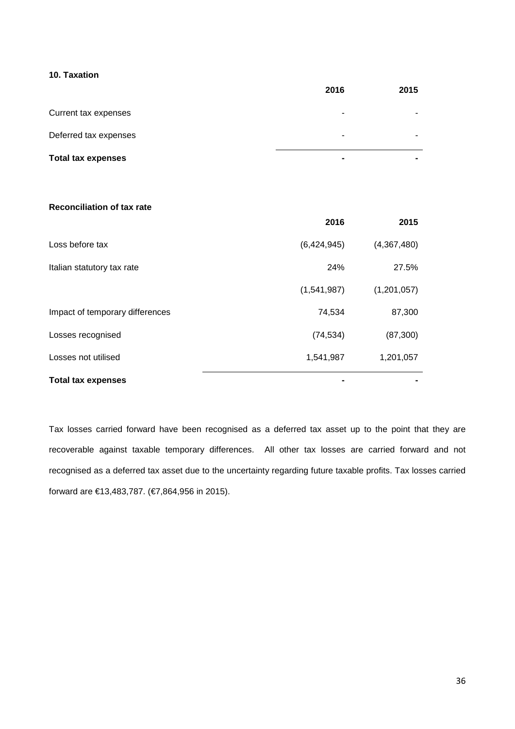# **10. Taxation**

|                           | 2016                     | 2015           |
|---------------------------|--------------------------|----------------|
| Current tax expenses      | $\overline{\phantom{0}}$ |                |
| Deferred tax expenses     | -                        |                |
| <b>Total tax expenses</b> | $\blacksquare$           | $\blacksquare$ |

# **Reconciliation of tax rate**

|                                 | 2016        | 2015        |
|---------------------------------|-------------|-------------|
| Loss before tax                 | (6,424,945) | (4,367,480) |
| Italian statutory tax rate      | 24%         | 27.5%       |
|                                 | (1,541,987) | (1,201,057) |
| Impact of temporary differences | 74,534      | 87,300      |
| Losses recognised               | (74, 534)   | (87, 300)   |
| Losses not utilised             | 1,541,987   | 1,201,057   |
| <b>Total tax expenses</b>       |             |             |

Tax losses carried forward have been recognised as a deferred tax asset up to the point that they are recoverable against taxable temporary differences. All other tax losses are carried forward and not recognised as a deferred tax asset due to the uncertainty regarding future taxable profits. Tax losses carried forward are €13,483,787. (€7,864,956 in 2015).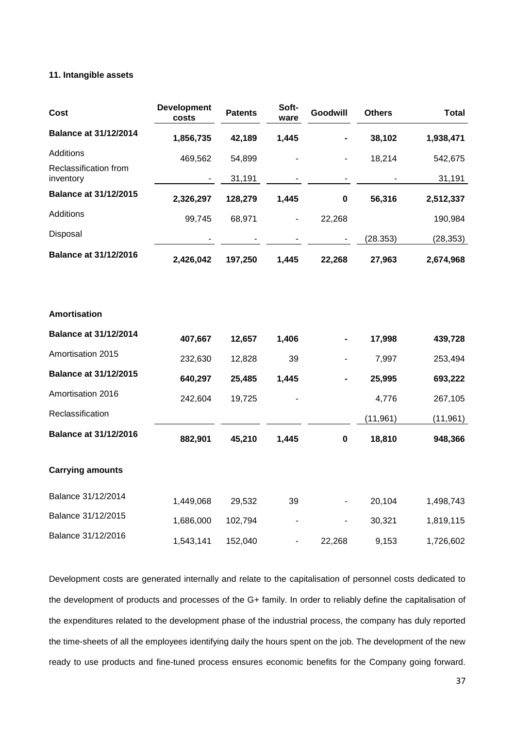## **11. Intangible assets**

| <b>Cost</b>                        | <b>Development</b><br>costs | <b>Patents</b> | Soft-<br>ware                | Goodwill    | <b>Others</b> | <b>Total</b> |
|------------------------------------|-----------------------------|----------------|------------------------------|-------------|---------------|--------------|
| <b>Balance at 31/12/2014</b>       | 1,856,735                   | 42,189         | 1,445                        |             | 38,102        | 1,938,471    |
| Additions                          | 469,562                     | 54,899         |                              |             | 18,214        | 542,675      |
| Reclassification from<br>inventory |                             | 31,191         |                              |             |               | 31,191       |
| <b>Balance at 31/12/2015</b>       | 2,326,297                   | 128,279        | 1,445                        | 0           | 56,316        | 2,512,337    |
| Additions                          | 99,745                      | 68,971         | $\qquad \qquad \blacksquare$ | 22,268      |               | 190,984      |
| Disposal                           |                             |                |                              |             | (28.353)      | (28, 353)    |
| <b>Balance at 31/12/2016</b>       | 2,426,042                   | 197,250        | 1,445                        | 22,268      | 27,963        | 2,674,968    |
|                                    |                             |                |                              |             |               |              |
| <b>Amortisation</b>                |                             |                |                              |             |               |              |
| <b>Balance at 31/12/2014</b>       | 407,667                     | 12,657         | 1,406                        |             | 17,998        | 439,728      |
| Amortisation 2015                  | 232,630                     | 12,828         | 39                           |             | 7,997         | 253,494      |
| <b>Balance at 31/12/2015</b>       | 640,297                     | 25,485         | 1,445                        |             | 25,995        | 693,222      |
| Amortisation 2016                  | 242,604                     | 19,725         |                              |             | 4,776         | 267,105      |
| Reclassification                   |                             |                |                              |             | (11, 961)     | (11, 961)    |
| <b>Balance at 31/12/2016</b>       | 882,901                     | 45,210         | 1,445                        | $\mathbf 0$ | 18,810        | 948,366      |
| <b>Carrying amounts</b>            |                             |                |                              |             |               |              |
| Balance 31/12/2014                 | 1,449,068                   | 29,532         | 39                           |             | 20,104        | 1,498,743    |
| Balance 31/12/2015                 | 1,686,000                   | 102,794        |                              |             | 30,321        | 1,819,115    |
| Balance 31/12/2016                 | 1,543,141                   | 152,040        |                              | 22,268      | 9,153         | 1,726,602    |

Development costs are generated internally and relate to the capitalisation of personnel costs dedicated to the development of products and processes of the G+ family. In order to reliably define the capitalisation of the expenditures related to the development phase of the industrial process, the company has duly reported the time-sheets of all the employees identifying daily the hours spent on the job. The development of the new ready to use products and fine-tuned process ensures economic benefits for the Company going forward.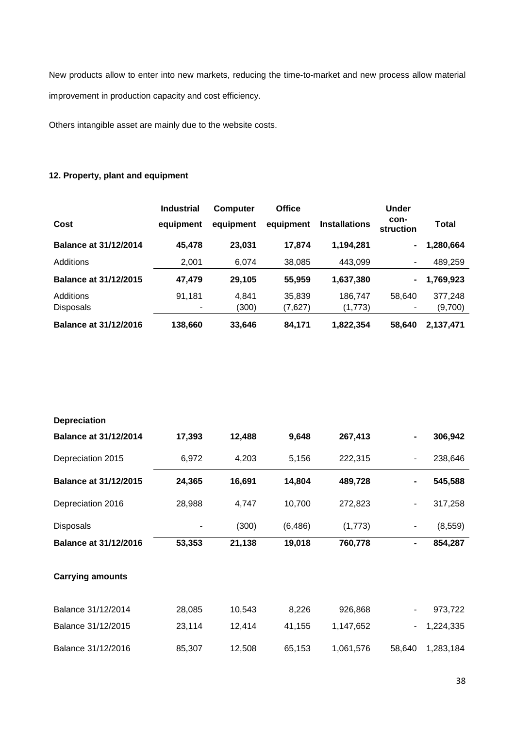New products allow to enter into new markets, reducing the time-to-market and new process allow material improvement in production capacity and cost efficiency.

Others intangible asset are mainly due to the website costs.

# **12. Property, plant and equipment**

|                              | <b>Industrial</b> | <b>Computer</b> | <b>Office</b> |                      | <b>Under</b>      |           |
|------------------------------|-------------------|-----------------|---------------|----------------------|-------------------|-----------|
| Cost                         | equipment         | equipment       | equipment     | <b>Installations</b> | con-<br>struction | Total     |
| <b>Balance at 31/12/2014</b> | 45,478            | 23,031          | 17,874        | 1,194,281            | ۰                 | 1,280,664 |
| Additions                    | 2,001             | 6,074           | 38,085        | 443,099              | ۰.                | 489,259   |
| <b>Balance at 31/12/2015</b> | 47,479            | 29,105          | 55,959        | 1,637,380            | ۰                 | 1,769,923 |
| Additions                    | 91,181            | 4.841           | 35,839        | 186,747              | 58.640            | 377,248   |
| <b>Disposals</b>             | ۰                 | (300)           | (7,627)       | (1,773)              |                   | (9,700)   |
| <b>Balance at 31/12/2016</b> | 138,660           | 33,646          | 84,171        | 1,822,354            | 58.640            | 2,137,471 |

| <b>Depreciation</b>          |        |        |          |           |        |           |
|------------------------------|--------|--------|----------|-----------|--------|-----------|
| <b>Balance at 31/12/2014</b> | 17,393 | 12,488 | 9,648    | 267,413   | -      | 306,942   |
| Depreciation 2015            | 6,972  | 4,203  | 5,156    | 222,315   | ۰      | 238,646   |
| <b>Balance at 31/12/2015</b> | 24,365 | 16,691 | 14,804   | 489,728   | -      | 545,588   |
| Depreciation 2016            | 28,988 | 4,747  | 10,700   | 272,823   |        | 317,258   |
| <b>Disposals</b>             |        | (300)  | (6, 486) | (1,773)   | ۰      | (8, 559)  |
| <b>Balance at 31/12/2016</b> | 53,353 | 21,138 | 19,018   | 760,778   | -      | 854,287   |
| <b>Carrying amounts</b>      |        |        |          |           |        |           |
| Balance 31/12/2014           | 28,085 | 10,543 | 8,226    | 926,868   |        | 973,722   |
| Balance 31/12/2015           | 23,114 | 12,414 | 41,155   | 1,147,652 |        | 1,224,335 |
| Balance 31/12/2016           | 85,307 | 12,508 | 65,153   | 1,061,576 | 58,640 | 1,283,184 |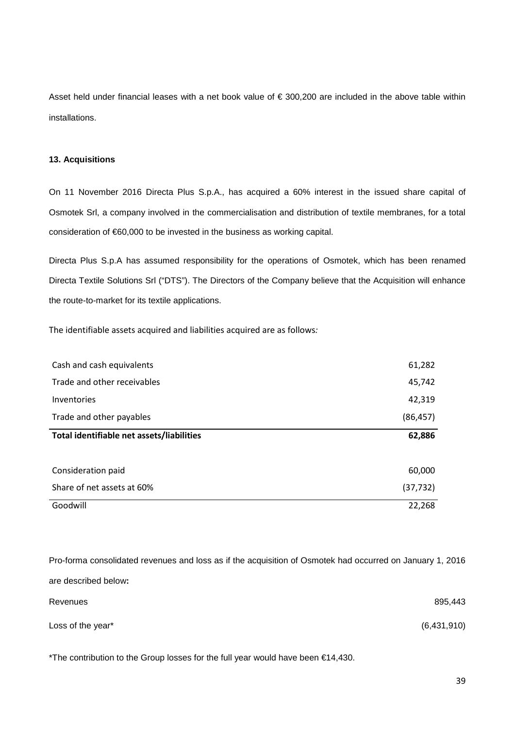Asset held under financial leases with a net book value of € 300,200 are included in the above table within installations.

## **13. Acquisitions**

On 11 November 2016 Directa Plus S.p.A., has acquired a 60% interest in the issued share capital of Osmotek Srl, a company involved in the commercialisation and distribution of textile membranes, for a total consideration of €60,000 to be invested in the business as working capital.

Directa Plus S.p.A has assumed responsibility for the operations of Osmotek, which has been renamed Directa Textile Solutions Srl ("DTS"). The Directors of the Company believe that the Acquisition will enhance the route-to-market for its textile applications.

The identifiable assets acquired and liabilities acquired are as follows*:*

| Cash and cash equivalents                 | 61,282    |
|-------------------------------------------|-----------|
| Trade and other receivables               | 45,742    |
| Inventories                               | 42,319    |
| Trade and other payables                  | (86, 457) |
| Total identifiable net assets/liabilities | 62,886    |
|                                           |           |
| Consideration paid                        | 60,000    |
| Share of net assets at 60%                | (37, 732) |
| Goodwill                                  | 22,268    |

Pro-forma consolidated revenues and loss as if the acquisition of Osmotek had occurred on January 1, 2016 are described below**:** Revenues 895,443 Loss of the year<sup>\*</sup>  $(6,431,910)$ 

\*The contribution to the Group losses for the full year would have been €14,430.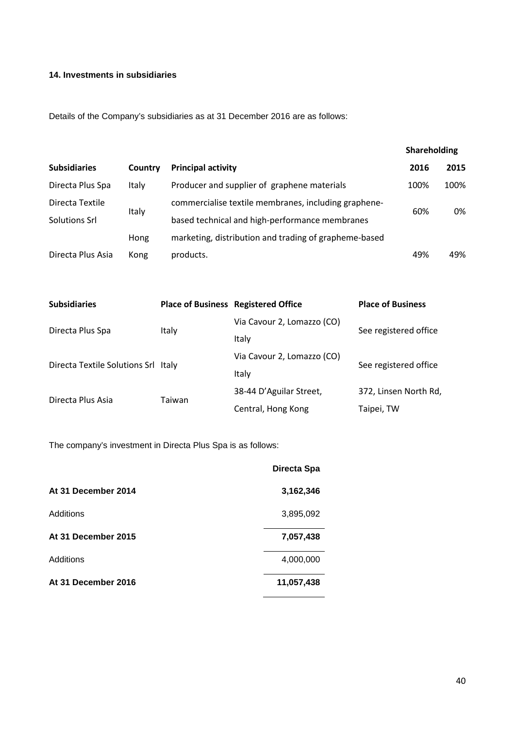# **14. Investments in subsidiaries**

Details of the Company's subsidiaries as at 31 December 2016 are as follows:

|                     |         |                                                       | Shareholding |      |
|---------------------|---------|-------------------------------------------------------|--------------|------|
| <b>Subsidiaries</b> | Country | <b>Principal activity</b>                             | 2016         | 2015 |
| Directa Plus Spa    | Italy   | Producer and supplier of graphene materials           | 100%         | 100% |
| Directa Textile     |         | commercialise textile membranes, including graphene-  | 60%          | 0%   |
| Solutions Srl       | Italy   | based technical and high-performance membranes        |              |      |
|                     | Hong    | marketing, distribution and trading of grapheme-based |              |      |
| Directa Plus Asia   | Kong    | products.                                             | 49%          | 49%  |

| <b>Subsidiaries</b>                 | <b>Place of Business Registered Office</b> |                            | <b>Place of Business</b> |  |
|-------------------------------------|--------------------------------------------|----------------------------|--------------------------|--|
|                                     |                                            | Via Cavour 2, Lomazzo (CO) | See registered office    |  |
| Directa Plus Spa                    | Italy                                      | Italy                      |                          |  |
|                                     |                                            | Via Cavour 2, Lomazzo (CO) |                          |  |
| Directa Textile Solutions Srl Italy |                                            | Italy                      | See registered office    |  |
| Directa Plus Asia                   | Taiwan                                     | 38-44 D'Aguilar Street,    | 372, Linsen North Rd,    |  |
|                                     |                                            | Central, Hong Kong         | Taipei, TW               |  |

The company's investment in Directa Plus Spa is as follows:

|                     | Directa Spa |
|---------------------|-------------|
| At 31 December 2014 | 3,162,346   |
| Additions           | 3,895,092   |
| At 31 December 2015 | 7,057,438   |
| Additions           | 4,000,000   |
| At 31 December 2016 | 11,057,438  |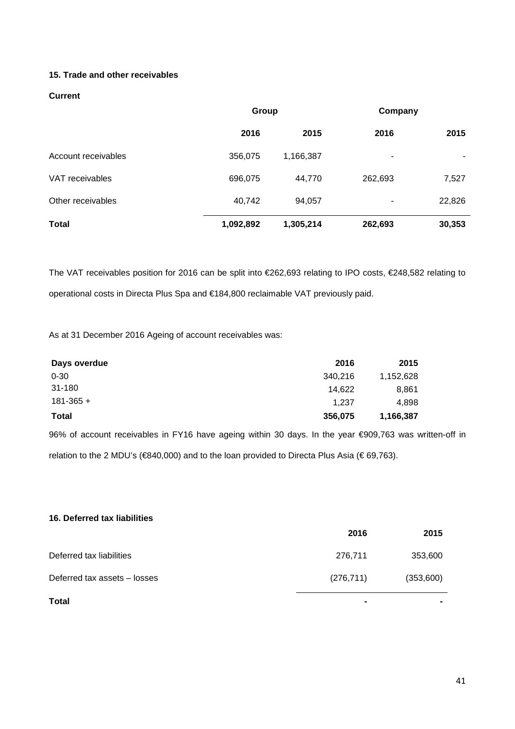# **15. Trade and other receivables**

# **Current**

|                     | Group     |           | Company |        |
|---------------------|-----------|-----------|---------|--------|
|                     | 2016      | 2015      | 2016    | 2015   |
| Account receivables | 356,075   | 1,166,387 | ۰       |        |
| VAT receivables     | 696,075   | 44,770    | 262,693 | 7,527  |
| Other receivables   | 40,742    | 94,057    | ۰       | 22,826 |
| <b>Total</b>        | 1,092,892 | 1,305,214 | 262,693 | 30,353 |

The VAT receivables position for 2016 can be split into €262,693 relating to IPO costs, €248,582 relating to operational costs in Directa Plus Spa and €184,800 reclaimable VAT previously paid.

As at 31 December 2016 Ageing of account receivables was:

| Days overdue  | 2016    | 2015      |
|---------------|---------|-----------|
| $0 - 30$      | 340,216 | 1,152,628 |
| 31-180        | 14.622  | 8,861     |
| $181 - 365 +$ | 1.237   | 4,898     |
| <b>Total</b>  | 356,075 | 1,166,387 |

96% of account receivables in FY16 have ageing within 30 days. In the year €909,763 was written-off in relation to the 2 MDU's (€840,000) and to the loan provided to Directa Plus Asia (€ 69,763).

| 16. Deferred tax liabilities |                |           |
|------------------------------|----------------|-----------|
|                              | 2016           | 2015      |
| Deferred tax liabilities     | 276,711        | 353,600   |
| Deferred tax assets - losses | (276, 711)     | (353,600) |
| <b>Total</b>                 | $\blacksquare$ |           |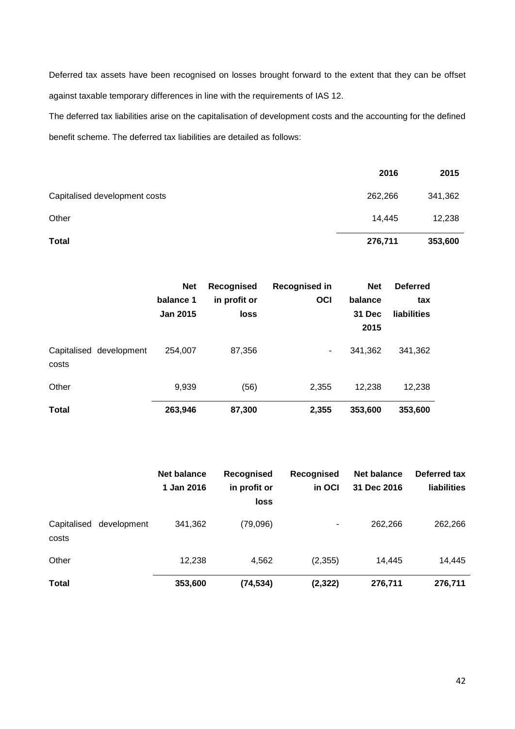Deferred tax assets have been recognised on losses brought forward to the extent that they can be offset against taxable temporary differences in line with the requirements of IAS 12.

The deferred tax liabilities arise on the capitalisation of development costs and the accounting for the defined benefit scheme. The deferred tax liabilities are detailed as follows:

|                               | 2016    | 2015    |
|-------------------------------|---------|---------|
| Capitalised development costs | 262,266 | 341,362 |
| Other                         | 14,445  | 12,238  |
| <b>Total</b>                  | 276,711 | 353,600 |

|                                  | <b>Net</b><br>balance 1<br><b>Jan 2015</b> | Recognised<br>in profit or<br><b>loss</b> | Recognised in<br><b>OCI</b> | <b>Net</b><br>balance<br>31 Dec<br>2015 | <b>Deferred</b><br>tax<br>liabilities |
|----------------------------------|--------------------------------------------|-------------------------------------------|-----------------------------|-----------------------------------------|---------------------------------------|
| Capitalised development<br>costs | 254,007                                    | 87,356                                    | ۰.                          | 341,362                                 | 341,362                               |
| Other                            | 9,939                                      | (56)                                      | 2,355                       | 12,238                                  | 12,238                                |
| <b>Total</b>                     | 263,946                                    | 87,300                                    | 2,355                       | 353,600                                 | 353,600                               |

|                                     | <b>Net balance</b><br>1 Jan 2016 | Recognised<br>in profit or<br>loss | Recognised<br>in OCI | Net balance<br>31 Dec 2016 | Deferred tax<br><b>liabilities</b> |
|-------------------------------------|----------------------------------|------------------------------------|----------------------|----------------------------|------------------------------------|
| Capitalised<br>development<br>costs | 341,362                          | (79,096)                           | ٠                    | 262,266                    | 262,266                            |
| Other                               | 12,238                           | 4,562                              | (2,355)              | 14.445                     | 14,445                             |
| <b>Total</b>                        | 353,600                          | (74, 534)                          | (2, 322)             | 276,711                    | 276,711                            |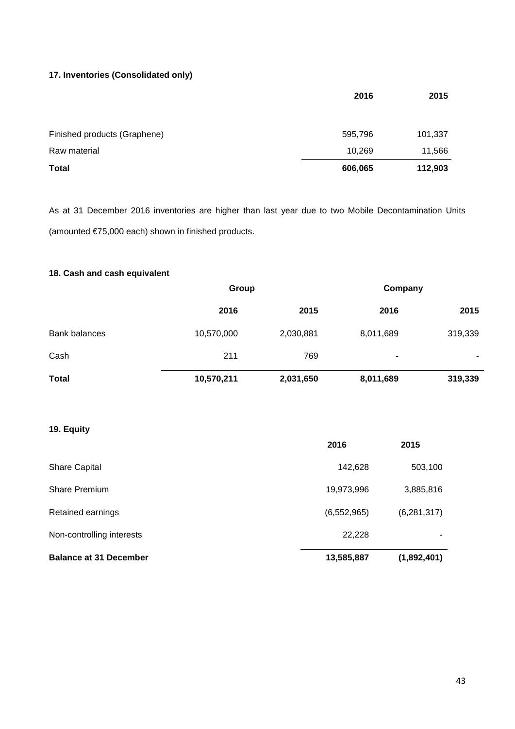# **17. Inventories (Consolidated only)**

|                              | 2016    | 2015    |
|------------------------------|---------|---------|
|                              |         |         |
| Finished products (Graphene) | 595,796 | 101,337 |
| Raw material                 | 10,269  | 11,566  |
| <b>Total</b>                 | 606,065 | 112,903 |

As at 31 December 2016 inventories are higher than last year due to two Mobile Decontamination Units (amounted €75,000 each) shown in finished products.

# **18. Cash and cash equivalent**

|                      |            | Group     |           | Company |
|----------------------|------------|-----------|-----------|---------|
|                      | 2016       | 2015      | 2016      | 2015    |
| <b>Bank balances</b> | 10,570,000 | 2,030,881 | 8,011,689 | 319,339 |
| Cash                 | 211        | 769       | ۰         |         |
| <b>Total</b>         | 10,570,211 | 2,031,650 | 8,011,689 | 319,339 |

# **19. Equity**

|                               | 2016          | 2015          |
|-------------------------------|---------------|---------------|
| <b>Share Capital</b>          | 142,628       | 503,100       |
| <b>Share Premium</b>          | 19,973,996    | 3,885,816     |
| Retained earnings             | (6, 552, 965) | (6, 281, 317) |
| Non-controlling interests     | 22,228        |               |
| <b>Balance at 31 December</b> | 13,585,887    | (1,892,401)   |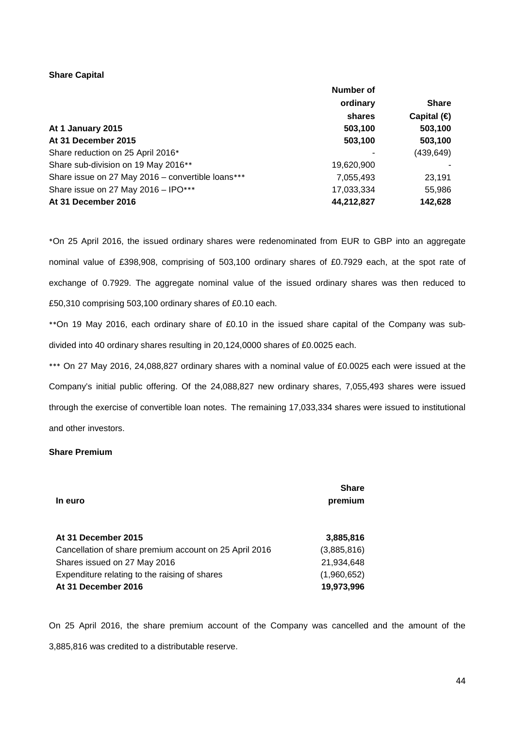## **Share Capital**

|                                                   | Number of  |                     |
|---------------------------------------------------|------------|---------------------|
|                                                   | ordinary   | <b>Share</b>        |
|                                                   | shares     | Capital $\bigoplus$ |
| At 1 January 2015                                 | 503,100    | 503,100             |
| At 31 December 2015                               | 503,100    | 503,100             |
| Share reduction on 25 April 2016*                 |            | (439, 649)          |
| Share sub-division on 19 May 2016**               | 19,620,900 |                     |
| Share issue on 27 May 2016 - convertible loans*** | 7,055,493  | 23,191              |
| Share issue on 27 May 2016 - IPO***               | 17,033,334 | 55,986              |
| At 31 December 2016                               | 44,212,827 | 142,628             |

\*On 25 April 2016, the issued ordinary shares were redenominated from EUR to GBP into an aggregate nominal value of £398,908, comprising of 503,100 ordinary shares of £0.7929 each, at the spot rate of exchange of 0.7929. The aggregate nominal value of the issued ordinary shares was then reduced to £50,310 comprising 503,100 ordinary shares of £0.10 each.

\*\*On 19 May 2016, each ordinary share of £0.10 in the issued share capital of the Company was subdivided into 40 ordinary shares resulting in 20,124,0000 shares of £0.0025 each.

\*\*\* On 27 May 2016, 24,088,827 ordinary shares with a nominal value of £0.0025 each were issued at the Company's initial public offering. Of the 24,088,827 new ordinary shares, 7,055,493 shares were issued through the exercise of convertible loan notes. The remaining 17,033,334 shares were issued to institutional and other investors.

## **Share Premium**

| In euro                                                | <b>Share</b><br>premium |
|--------------------------------------------------------|-------------------------|
| At 31 December 2015                                    | 3,885,816               |
| Cancellation of share premium account on 25 April 2016 | (3,885,816)             |
| Shares issued on 27 May 2016                           | 21,934,648              |
| Expenditure relating to the raising of shares          | (1,960,652)             |
| At 31 December 2016                                    | 19,973,996              |

On 25 April 2016, the share premium account of the Company was cancelled and the amount of the 3,885,816 was credited to a distributable reserve.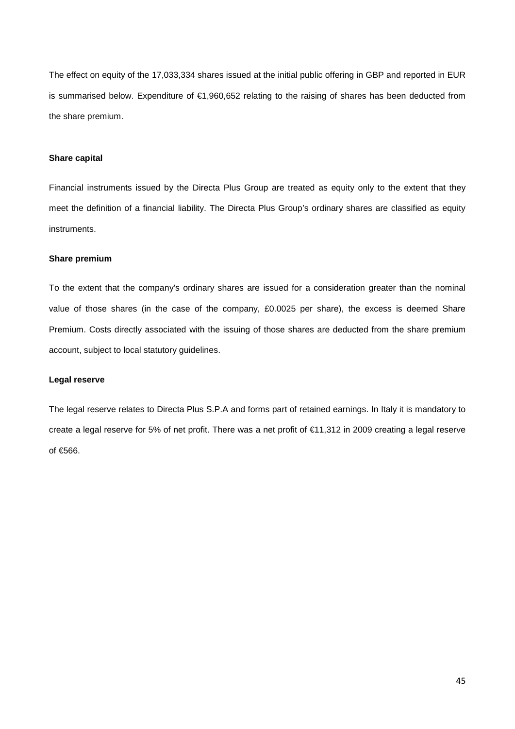The effect on equity of the 17,033,334 shares issued at the initial public offering in GBP and reported in EUR is summarised below. Expenditure of €1,960,652 relating to the raising of shares has been deducted from the share premium.

# **Share capital**

Financial instruments issued by the Directa Plus Group are treated as equity only to the extent that they meet the definition of a financial liability. The Directa Plus Group's ordinary shares are classified as equity instruments.

### **Share premium**

To the extent that the company's ordinary shares are issued for a consideration greater than the nominal value of those shares (in the case of the company, £0.0025 per share), the excess is deemed Share Premium. Costs directly associated with the issuing of those shares are deducted from the share premium account, subject to local statutory guidelines.

#### **Legal reserve**

The legal reserve relates to Directa Plus S.P.A and forms part of retained earnings. In Italy it is mandatory to create a legal reserve for 5% of net profit. There was a net profit of €11,312 in 2009 creating a legal reserve of €566.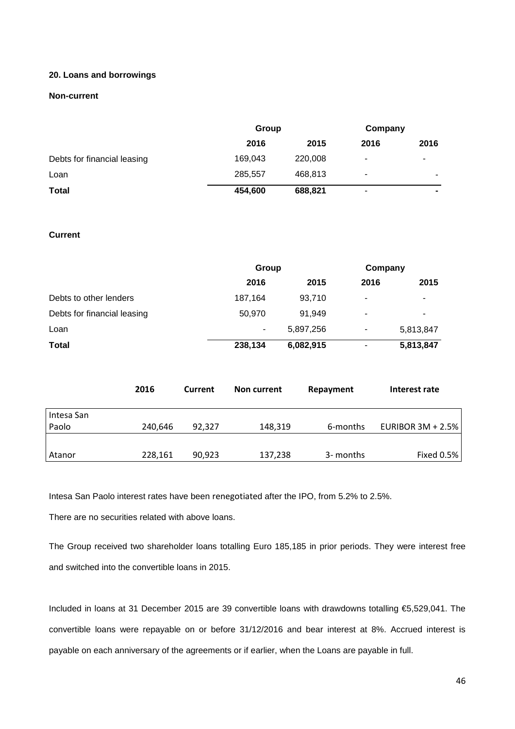## **20. Loans and borrowings**

## **Non-current**

|                             | Group   |         | Company                  |                          |
|-----------------------------|---------|---------|--------------------------|--------------------------|
|                             | 2016    | 2015    | 2016                     | 2016                     |
| Debts for financial leasing | 169,043 | 220,008 | $\overline{\phantom{a}}$ | ٠                        |
| Loan                        | 285,557 | 468,813 | ۰                        | ۰                        |
| <b>Total</b>                | 454,600 | 688,821 | ٠                        | $\overline{\phantom{a}}$ |

# **Current**

|                             | Group   |           | Company |           |
|-----------------------------|---------|-----------|---------|-----------|
|                             | 2016    | 2015      | 2016    | 2015      |
| Debts to other lenders      | 187,164 | 93,710    | ۰       | ۰         |
| Debts for financial leasing | 50.970  | 91.949    | ۰       | ۰         |
| Loan                        | ۰       | 5,897,256 | ٠       | 5,813,847 |
| <b>Total</b>                | 238,134 | 6,082,915 | ٠       | 5,813,847 |

|                     | 2016    | Current | Non current | Repayment | Interest rate     |
|---------------------|---------|---------|-------------|-----------|-------------------|
| Intesa San<br>Paolo | 240,646 | 92.327  | 148,319     | 6-months  | EURIBOR 3M + 2.5% |
| Atanor              | 228,161 | 90,923  | 137,238     | 3- months | Fixed 0.5%        |

Intesa San Paolo interest rates have been renegotiated after the IPO, from 5.2% to 2.5%.

There are no securities related with above loans.

The Group received two shareholder loans totalling Euro 185,185 in prior periods. They were interest free and switched into the convertible loans in 2015.

Included in loans at 31 December 2015 are 39 convertible loans with drawdowns totalling €5,529,041. The convertible loans were repayable on or before 31/12/2016 and bear interest at 8%. Accrued interest is payable on each anniversary of the agreements or if earlier, when the Loans are payable in full.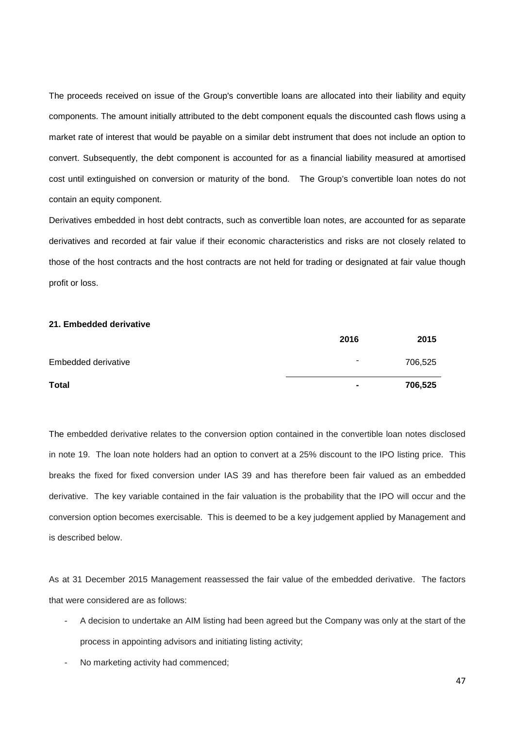The proceeds received on issue of the Group's convertible loans are allocated into their liability and equity components. The amount initially attributed to the debt component equals the discounted cash flows using a market rate of interest that would be payable on a similar debt instrument that does not include an option to convert. Subsequently, the debt component is accounted for as a financial liability measured at amortised cost until extinguished on conversion or maturity of the bond. The Group's convertible loan notes do not contain an equity component.

Derivatives embedded in host debt contracts, such as convertible loan notes, are accounted for as separate derivatives and recorded at fair value if their economic characteristics and risks are not closely related to those of the host contracts and the host contracts are not held for trading or designated at fair value though profit or loss.

# **21. Embedded derivative**

|                     | 2016                     | 2015    |
|---------------------|--------------------------|---------|
| Embedded derivative | $\overline{\phantom{0}}$ | 706,525 |
| <b>Total</b>        | $\blacksquare$           | 706,525 |

The embedded derivative relates to the conversion option contained in the convertible loan notes disclosed in note 19. The loan note holders had an option to convert at a 25% discount to the IPO listing price. This breaks the fixed for fixed conversion under IAS 39 and has therefore been fair valued as an embedded derivative. The key variable contained in the fair valuation is the probability that the IPO will occur and the conversion option becomes exercisable. This is deemed to be a key judgement applied by Management and is described below.

As at 31 December 2015 Management reassessed the fair value of the embedded derivative. The factors that were considered are as follows:

- A decision to undertake an AIM listing had been agreed but the Company was only at the start of the process in appointing advisors and initiating listing activity;
- No marketing activity had commenced;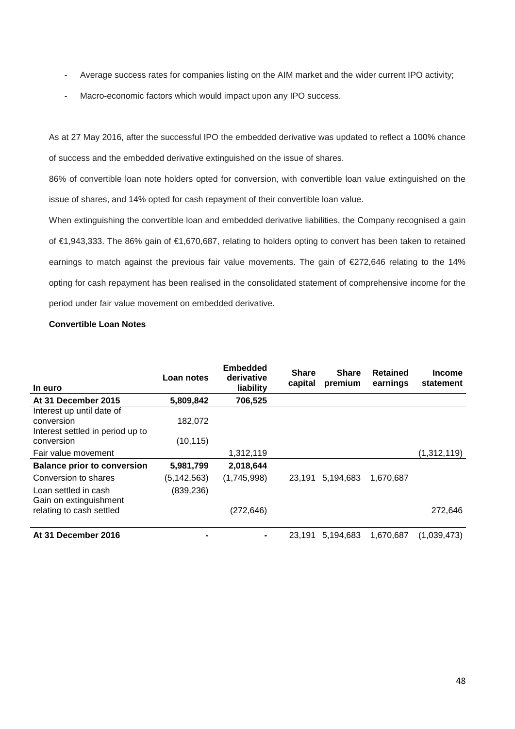- Average success rates for companies listing on the AIM market and the wider current IPO activity;
- Macro-economic factors which would impact upon any IPO success.

As at 27 May 2016, after the successful IPO the embedded derivative was updated to reflect a 100% chance of success and the embedded derivative extinguished on the issue of shares.

86% of convertible loan note holders opted for conversion, with convertible loan value extinguished on the issue of shares, and 14% opted for cash repayment of their convertible loan value.

When extinguishing the convertible loan and embedded derivative liabilities, the Company recognised a gain of €1,943,333. The 86% gain of €1,670,687, relating to holders opting to convert has been taken to retained earnings to match against the previous fair value movements. The gain of €272,646 relating to the 14% opting for cash repayment has been realised in the consolidated statement of comprehensive income for the period under fair value movement on embedded derivative.

# **Convertible Loan Notes**

| In euro                                                                     | Loan notes    | <b>Embedded</b><br>derivative<br>liability | <b>Share</b><br>capital | <b>Share</b><br>premium | <b>Retained</b><br>earnings | <b>Income</b><br>statement |
|-----------------------------------------------------------------------------|---------------|--------------------------------------------|-------------------------|-------------------------|-----------------------------|----------------------------|
| At 31 December 2015                                                         | 5,809,842     | 706,525                                    |                         |                         |                             |                            |
| Interest up until date of<br>conversion<br>Interest settled in period up to | 182,072       |                                            |                         |                         |                             |                            |
| conversion                                                                  | (10, 115)     |                                            |                         |                         |                             |                            |
| Fair value movement                                                         |               | 1,312,119                                  |                         |                         |                             | (1,312,119)                |
| <b>Balance prior to conversion</b>                                          | 5,981,799     | 2,018,644                                  |                         |                         |                             |                            |
| Conversion to shares                                                        | (5, 142, 563) | (1,745,998)                                | 23,191                  | 5,194,683               | 1,670,687                   |                            |
| Loan settled in cash<br>Gain on extinguishment                              | (839, 236)    |                                            |                         |                         |                             |                            |
| relating to cash settled                                                    |               | (272, 646)                                 |                         |                         |                             | 272,646                    |
| At 31 December 2016                                                         |               | ۰                                          | 23.191                  | 5,194,683               | 1,670,687                   | (1,039,473)                |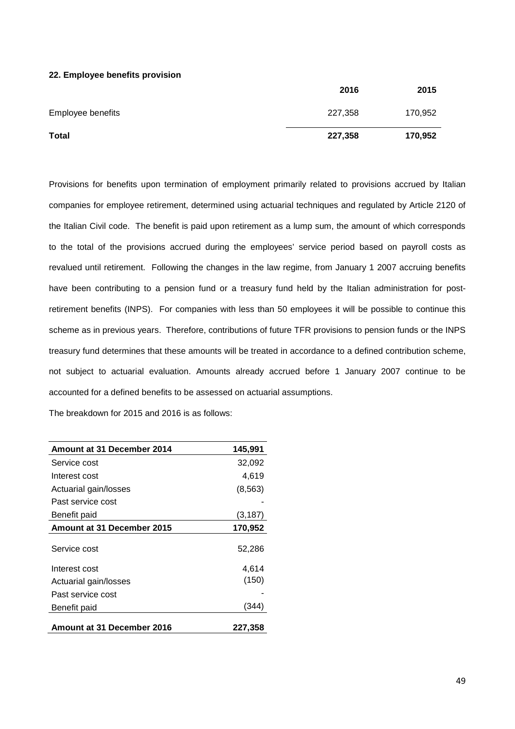### **22. Employee benefits provision**

| Total             | 227,358 | 170,952 |
|-------------------|---------|---------|
| Employee benefits | 227,358 | 170,952 |
|                   | 2016    | 2015    |

Provisions for benefits upon termination of employment primarily related to provisions accrued by Italian companies for employee retirement, determined using actuarial techniques and regulated by Article 2120 of the Italian Civil code. The benefit is paid upon retirement as a lump sum, the amount of which corresponds to the total of the provisions accrued during the employees' service period based on payroll costs as revalued until retirement. Following the changes in the law regime, from January 1 2007 accruing benefits have been contributing to a pension fund or a treasury fund held by the Italian administration for postretirement benefits (INPS). For companies with less than 50 employees it will be possible to continue this scheme as in previous years. Therefore, contributions of future TFR provisions to pension funds or the INPS treasury fund determines that these amounts will be treated in accordance to a defined contribution scheme, not subject to actuarial evaluation. Amounts already accrued before 1 January 2007 continue to be accounted for a defined benefits to be assessed on actuarial assumptions.

The breakdown for 2015 and 2016 is as follows:

| Amount at 31 December 2014 | 145.991  |
|----------------------------|----------|
| Service cost               | 32,092   |
| Interest cost              | 4,619    |
| Actuarial gain/losses      | (8, 563) |
| Past service cost          |          |
| Benefit paid               | (3, 187) |
| Amount at 31 December 2015 | 170,952  |
| Service cost               | 52,286   |
| Interest cost              | 4,614    |
| Actuarial gain/losses      | (150)    |
| Past service cost          |          |
| Benefit paid               | (344)    |
| Amount at 31 December 2016 | 227,358  |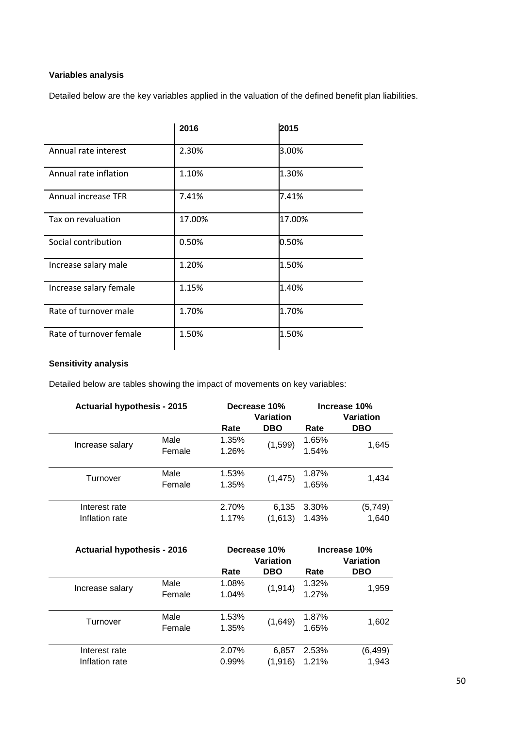# **Variables analysis**

Detailed below are the key variables applied in the valuation of the defined benefit plan liabilities.

|                            | 2016   | 2015   |
|----------------------------|--------|--------|
| Annual rate interest       | 2.30%  | 3.00%  |
| Annual rate inflation      | 1.10%  | 1.30%  |
| <b>Annual increase TFR</b> | 7.41%  | 7.41%  |
| Tax on revaluation         | 17.00% | 17.00% |
| Social contribution        | 0.50%  | 0.50%  |
| Increase salary male       | 1.20%  | 1.50%  |
| Increase salary female     | 1.15%  | 1.40%  |
| Rate of turnover male      | 1.70%  | 1.70%  |
| Rate of turnover female    | 1.50%  | 1.50%  |

# **Sensitivity analysis**

Detailed below are tables showing the impact of movements on key variables:

| <b>Actuarial hypothesis - 2015</b> |                | Decrease 10%<br>Variation |                  |                |                   |  | Increase 10%<br>Variation |
|------------------------------------|----------------|---------------------------|------------------|----------------|-------------------|--|---------------------------|
|                                    |                | Rate                      | <b>DBO</b>       | Rate           | <b>DBO</b>        |  |                           |
| Increase salary                    | Male<br>Female | 1.35%<br>1.26%            | (1, 599)         | 1.65%<br>1.54% | 1,645             |  |                           |
| Turnover                           | Male<br>Female | 1.53%<br>1.35%            | (1, 475)         | 1.87%<br>1.65% | 1,434             |  |                           |
| Interest rate<br>Inflation rate    |                | 2.70%<br>1.17%            | 6,135<br>(1,613) | 3.30%<br>1.43% | (5, 749)<br>1,640 |  |                           |

| <b>Actuarial hypothesis - 2016</b> |        |       | Decrease 10% | Increase 10% |            |  |
|------------------------------------|--------|-------|--------------|--------------|------------|--|
|                                    |        |       | Variation    |              | Variation  |  |
|                                    |        | Rate  | <b>DBO</b>   | Rate         | <b>DBO</b> |  |
|                                    | Male   | 1.08% | (1, 914)     | 1.32%        | 1,959      |  |
| Increase salary                    | Female | 1.04% |              | 1.27%        |            |  |
|                                    |        |       |              |              |            |  |
| Turnover                           | Male   | 1.53% |              | 1.87%        |            |  |
|                                    | Female | 1.35% | (1,649)      | 1.65%        | 1,602      |  |
|                                    |        |       |              |              |            |  |
| Interest rate                      |        | 2.07% | 6,857        | 2.53%        | (6, 499)   |  |
| Inflation rate                     |        | 0.99% | (1,916)      | 1.21%        | 1,943      |  |
|                                    |        |       |              |              |            |  |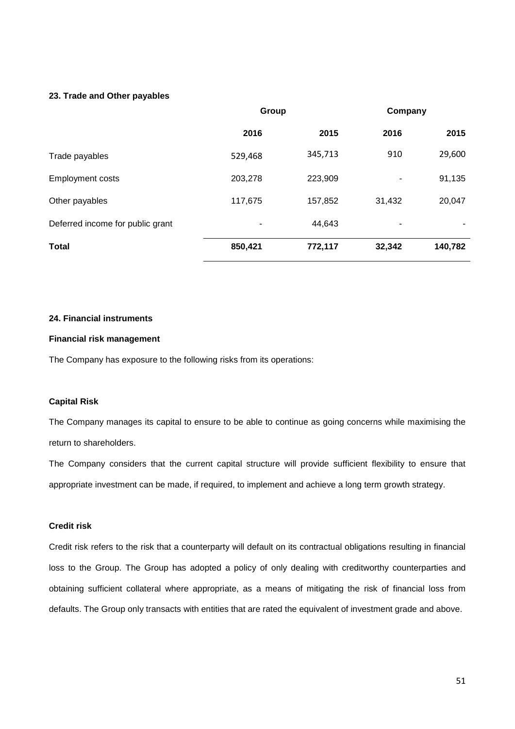## **23. Trade and Other payables**

|                                  | Group   |         | Company |         |
|----------------------------------|---------|---------|---------|---------|
|                                  | 2016    | 2015    | 2016    | 2015    |
| Trade payables                   | 529,468 | 345,713 | 910     | 29,600  |
| <b>Employment costs</b>          | 203,278 | 223,909 | ٠       | 91,135  |
| Other payables                   | 117,675 | 157,852 | 31,432  | 20,047  |
| Deferred income for public grant |         | 44,643  | ٠       |         |
| <b>Total</b>                     | 850,421 | 772,117 | 32,342  | 140,782 |

## **24. Financial instruments**

## **Financial risk management**

The Company has exposure to the following risks from its operations:

## **Capital Risk**

The Company manages its capital to ensure to be able to continue as going concerns while maximising the return to shareholders.

The Company considers that the current capital structure will provide sufficient flexibility to ensure that appropriate investment can be made, if required, to implement and achieve a long term growth strategy.

# **Credit risk**

Credit risk refers to the risk that a counterparty will default on its contractual obligations resulting in financial loss to the Group. The Group has adopted a policy of only dealing with creditworthy counterparties and obtaining sufficient collateral where appropriate, as a means of mitigating the risk of financial loss from defaults. The Group only transacts with entities that are rated the equivalent of investment grade and above.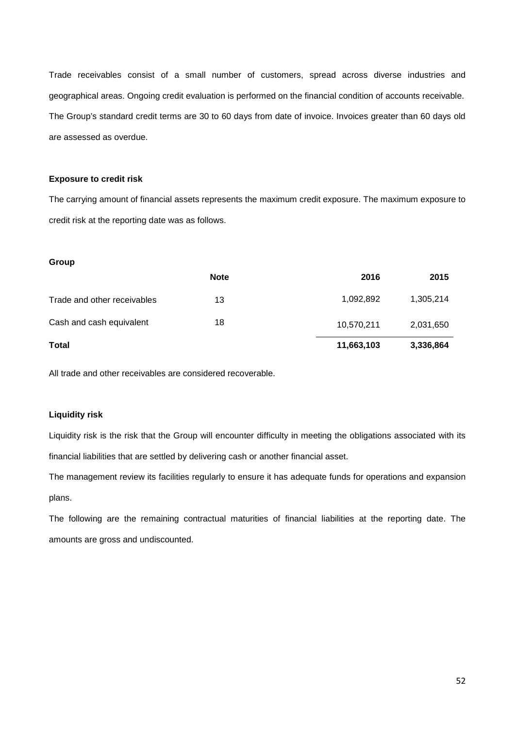Trade receivables consist of a small number of customers, spread across diverse industries and geographical areas. Ongoing credit evaluation is performed on the financial condition of accounts receivable. The Group's standard credit terms are 30 to 60 days from date of invoice. Invoices greater than 60 days old are assessed as overdue.

## **Exposure to credit risk**

The carrying amount of financial assets represents the maximum credit exposure. The maximum exposure to credit risk at the reporting date was as follows.

#### **Group**

|                             | <b>Note</b> | 2016       | 2015      |
|-----------------------------|-------------|------------|-----------|
| Trade and other receivables | 13          | 1,092,892  | 1,305,214 |
| Cash and cash equivalent    | 18          | 10,570,211 | 2,031,650 |
| <b>Total</b>                |             | 11,663,103 | 3,336,864 |

All trade and other receivables are considered recoverable.

# **Liquidity risk**

Liquidity risk is the risk that the Group will encounter difficulty in meeting the obligations associated with its financial liabilities that are settled by delivering cash or another financial asset.

The management review its facilities regularly to ensure it has adequate funds for operations and expansion plans.

The following are the remaining contractual maturities of financial liabilities at the reporting date. The amounts are gross and undiscounted.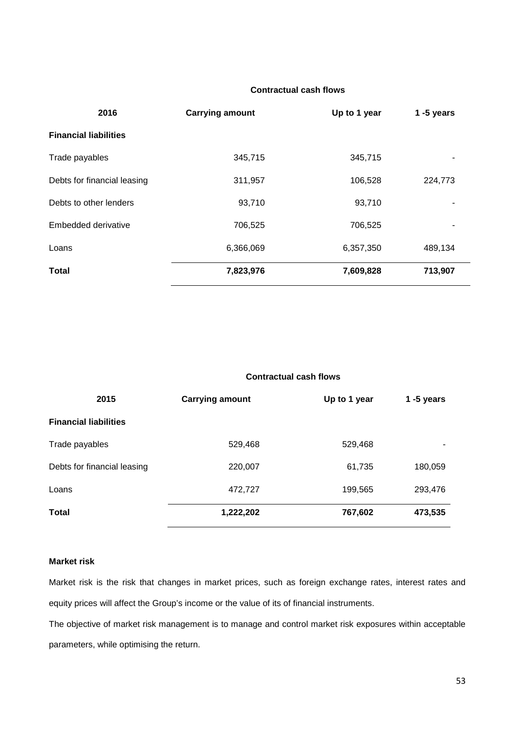# **Contractual cash flows**

| 2016                         | <b>Carrying amount</b> | Up to 1 year | 1 $-5$ years |
|------------------------------|------------------------|--------------|--------------|
| <b>Financial liabilities</b> |                        |              |              |
| Trade payables               | 345,715                | 345,715      |              |
| Debts for financial leasing  | 311,957                | 106,528      | 224,773      |
| Debts to other lenders       | 93,710                 | 93,710       |              |
| Embedded derivative          | 706,525                | 706,525      | ۰            |
| Loans                        | 6,366,069              | 6,357,350    | 489,134      |
| <b>Total</b>                 | 7,823,976              | 7,609,828    | 713,907      |

## **Contractual cash flows**

| 2015                         | <b>Carrying amount</b> | Up to 1 year | 1 $-5$ years |
|------------------------------|------------------------|--------------|--------------|
| <b>Financial liabilities</b> |                        |              |              |
| Trade payables               | 529,468                | 529,468      |              |
| Debts for financial leasing  | 220,007                | 61,735       | 180,059      |
| Loans                        | 472,727                | 199,565      | 293,476      |
| <b>Total</b>                 | 1,222,202              | 767,602      | 473,535      |

## **Market risk**

Market risk is the risk that changes in market prices, such as foreign exchange rates, interest rates and equity prices will affect the Group's income or the value of its of financial instruments.

The objective of market risk management is to manage and control market risk exposures within acceptable parameters, while optimising the return.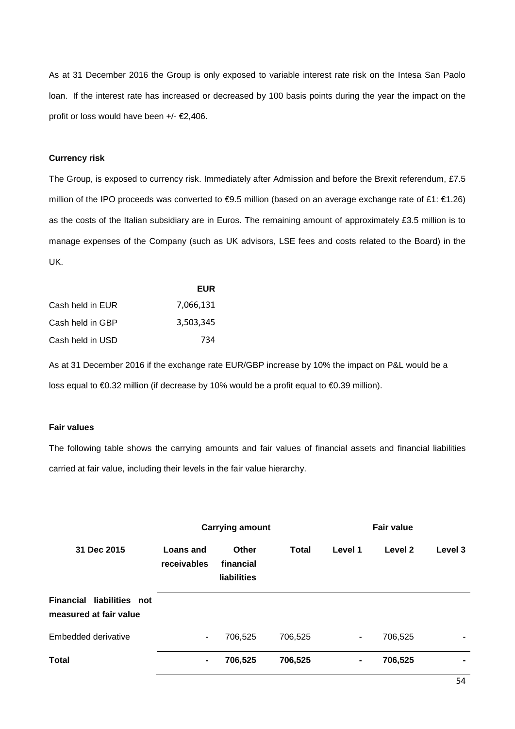As at 31 December 2016 the Group is only exposed to variable interest rate risk on the Intesa San Paolo loan. If the interest rate has increased or decreased by 100 basis points during the year the impact on the profit or loss would have been +/- €2,406.

### **Currency risk**

The Group, is exposed to currency risk. Immediately after Admission and before the Brexit referendum, £7.5 million of the IPO proceeds was converted to €9.5 million (based on an average exchange rate of £1: €1.26) as the costs of the Italian subsidiary are in Euros. The remaining amount of approximately £3.5 million is to manage expenses of the Company (such as UK advisors, LSE fees and costs related to the Board) in the UK.

|                  | <b>EUR</b> |
|------------------|------------|
| Cash held in EUR | 7,066,131  |
| Cash held in GBP | 3.503.345  |
| Cash held in USD | 734        |

As at 31 December 2016 if the exchange rate EUR/GBP increase by 10% the impact on P&L would be a loss equal to €0.32 million (if decrease by 10% would be a profit equal to €0.39 million).

#### **Fair values**

The following table shows the carrying amounts and fair values of financial assets and financial liabilities carried at fair value, including their levels in the fair value hierarchy.

|                                                     |                          | <b>Carrying amount</b>            |              |                          | <b>Fair value</b> |                |
|-----------------------------------------------------|--------------------------|-----------------------------------|--------------|--------------------------|-------------------|----------------|
| 31 Dec 2015                                         | Loans and<br>receivables | Other<br>financial<br>liabilities | <b>Total</b> | Level 1                  | Level 2           | Level 3        |
| Financial liabilities not<br>measured at fair value |                          |                                   |              |                          |                   |                |
| <b>Embedded derivative</b>                          | ۰.                       | 706,525                           | 706,525      | $\overline{\phantom{a}}$ | 706,525           | $\blacksquare$ |
| Total                                               | $\blacksquare$           | 706,525                           | 706,525      | $\blacksquare$           | 706,525           | $\blacksquare$ |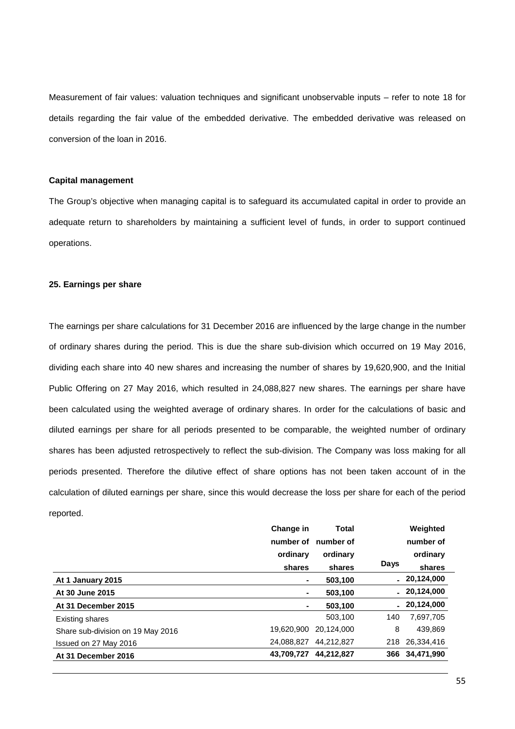Measurement of fair values: valuation techniques and significant unobservable inputs – refer to note 18 for details regarding the fair value of the embedded derivative. The embedded derivative was released on conversion of the loan in 2016.

### **Capital management**

The Group's objective when managing capital is to safeguard its accumulated capital in order to provide an adequate return to shareholders by maintaining a sufficient level of funds, in order to support continued operations.

### **25. Earnings per share**

The earnings per share calculations for 31 December 2016 are influenced by the large change in the number of ordinary shares during the period. This is due the share sub-division which occurred on 19 May 2016, dividing each share into 40 new shares and increasing the number of shares by 19,620,900, and the Initial Public Offering on 27 May 2016, which resulted in 24,088,827 new shares. The earnings per share have been calculated using the weighted average of ordinary shares. In order for the calculations of basic and diluted earnings per share for all periods presented to be comparable, the weighted number of ordinary shares has been adjusted retrospectively to reflect the sub-division. The Company was loss making for all periods presented. Therefore the dilutive effect of share options has not been taken account of in the calculation of diluted earnings per share, since this would decrease the loss per share for each of the period reported.

|                                   | Change in  | <b>Total</b> |      | Weighted       |
|-----------------------------------|------------|--------------|------|----------------|
|                                   | number of  | number of    |      | number of      |
|                                   | ordinary   | ordinary     |      | ordinary       |
|                                   | shares     | shares       | Days | shares         |
| At 1 January 2015                 | ۰          | 503,100      |      | $-20,124,000$  |
| At 30 June 2015                   | ۰          | 503,100      |      | $-20,124,000$  |
| At 31 December 2015               | ۰.         | 503.100      |      | $-20,124,000$  |
| Existing shares                   |            | 503.100      | 140  | 7,697,705      |
| Share sub-division on 19 May 2016 | 19,620,900 | 20.124.000   | 8    | 439,869        |
| Issued on 27 May 2016             | 24.088.827 | 44.212.827   | 218  | 26.334.416     |
| At 31 December 2016               | 43,709,727 | 44,212,827   |      | 366 34,471,990 |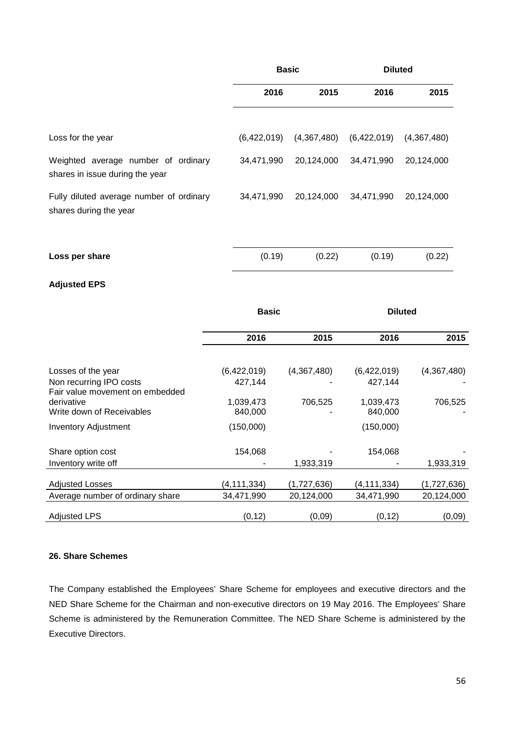|                                                                        | <b>Basic</b> |             | <b>Diluted</b> |             |
|------------------------------------------------------------------------|--------------|-------------|----------------|-------------|
|                                                                        | 2016         | 2015        | 2016           | 2015        |
| Loss for the year                                                      | (6,422,019)  | (4,367,480) | (6,422,019)    | (4,367,480) |
| Weighted average number of ordinary<br>shares in issue during the year | 34,471,990   | 20,124,000  | 34,471,990     | 20,124,000  |
| Fully diluted average number of ordinary<br>shares during the year     | 34,471,990   | 20,124,000  | 34,471,990     | 20,124,000  |
| Loss per share                                                         | (0.19)       | (0.22)      | (0.19)         | (0.22)      |

# **Adjusted EPS**

|                                                                            | <b>Basic</b>         |             | <b>Diluted</b>       |             |
|----------------------------------------------------------------------------|----------------------|-------------|----------------------|-------------|
|                                                                            | 2016                 | 2015        | 2016                 | 2015        |
| Losses of the year                                                         | (6,422,019)          | (4,367,480) | (6,422,019)          | (4,367,480) |
| Non recurring IPO costs                                                    | 427,144              |             | 427,144              |             |
| Fair value movement on embedded<br>derivative<br>Write down of Receivables | 1,039,473<br>840,000 | 706,525     | 1,039,473<br>840,000 | 706,525     |
| <b>Inventory Adjustment</b>                                                | (150,000)            |             | (150,000)            |             |
|                                                                            |                      |             |                      |             |
| Share option cost                                                          | 154,068              |             | 154,068              |             |
| Inventory write off                                                        |                      | 1,933,319   |                      | 1,933,319   |
| <b>Adjusted Losses</b>                                                     | (4, 111, 334)        | (1,727,636) | (4,111,334)          | (1,727,636) |
| Average number of ordinary share                                           | 34,471,990           | 20,124,000  | 34,471,990           | 20,124,000  |
| <b>Adjusted LPS</b>                                                        | (0, 12)              | (0,09)      | (0, 12)              | (0,09)      |

# **26. Share Schemes**

The Company established the Employees' Share Scheme for employees and executive directors and the NED Share Scheme for the Chairman and non-executive directors on 19 May 2016. The Employees' Share Scheme is administered by the Remuneration Committee. The NED Share Scheme is administered by the Executive Directors.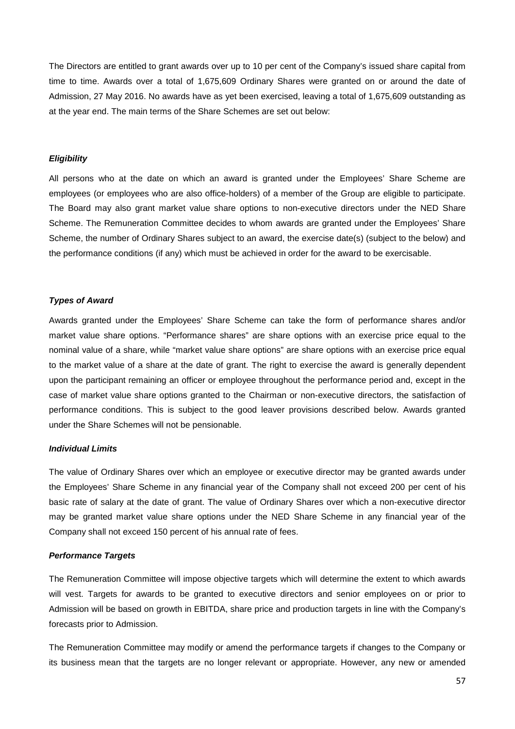The Directors are entitled to grant awards over up to 10 per cent of the Company's issued share capital from time to time. Awards over a total of 1,675,609 Ordinary Shares were granted on or around the date of Admission, 27 May 2016. No awards have as yet been exercised, leaving a total of 1,675,609 outstanding as at the year end. The main terms of the Share Schemes are set out below:

## *Eligibility*

All persons who at the date on which an award is granted under the Employees' Share Scheme are employees (or employees who are also office-holders) of a member of the Group are eligible to participate. The Board may also grant market value share options to non-executive directors under the NED Share Scheme. The Remuneration Committee decides to whom awards are granted under the Employees' Share Scheme, the number of Ordinary Shares subject to an award, the exercise date(s) (subject to the below) and the performance conditions (if any) which must be achieved in order for the award to be exercisable.

### *Types of Award*

Awards granted under the Employees' Share Scheme can take the form of performance shares and/or market value share options. "Performance shares" are share options with an exercise price equal to the nominal value of a share, while "market value share options" are share options with an exercise price equal to the market value of a share at the date of grant. The right to exercise the award is generally dependent upon the participant remaining an officer or employee throughout the performance period and, except in the case of market value share options granted to the Chairman or non-executive directors, the satisfaction of performance conditions. This is subject to the good leaver provisions described below. Awards granted under the Share Schemes will not be pensionable.

### *Individual Limits*

The value of Ordinary Shares over which an employee or executive director may be granted awards under the Employees' Share Scheme in any financial year of the Company shall not exceed 200 per cent of his basic rate of salary at the date of grant. The value of Ordinary Shares over which a non-executive director may be granted market value share options under the NED Share Scheme in any financial year of the Company shall not exceed 150 percent of his annual rate of fees.

### *Performance Targets*

The Remuneration Committee will impose objective targets which will determine the extent to which awards will vest. Targets for awards to be granted to executive directors and senior employees on or prior to Admission will be based on growth in EBITDA, share price and production targets in line with the Company's forecasts prior to Admission.

The Remuneration Committee may modify or amend the performance targets if changes to the Company or its business mean that the targets are no longer relevant or appropriate. However, any new or amended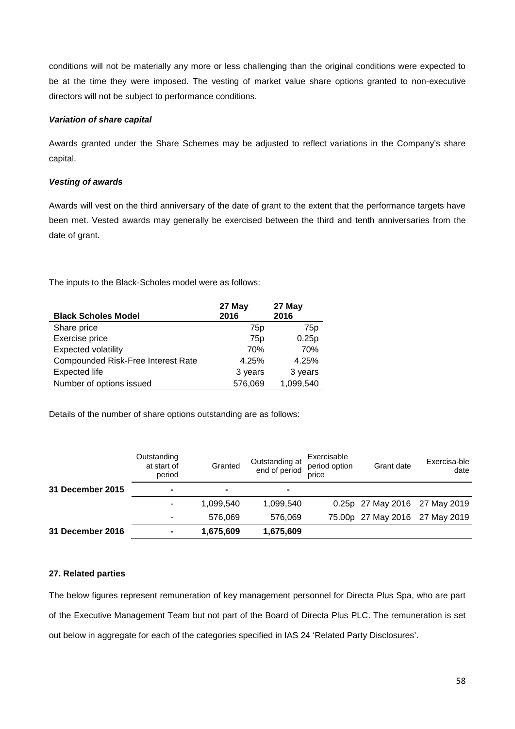conditions will not be materially any more or less challenging than the original conditions were expected to be at the time they were imposed. The vesting of market value share options granted to non-executive directors will not be subject to performance conditions.

## *Variation of share capital*

Awards granted under the Share Schemes may be adjusted to reflect variations in the Company's share capital.

## *Vesting of awards*

Awards will vest on the third anniversary of the date of grant to the extent that the performance targets have been met. Vested awards may generally be exercised between the third and tenth anniversaries from the date of grant.

The inputs to the Black-Scholes model were as follows:

| <b>Black Scholes Model</b>         | 27 May<br>2016  | 27 May<br>2016  |
|------------------------------------|-----------------|-----------------|
| Share price                        | 75 <sub>p</sub> | 75 <sub>p</sub> |
| Exercise price                     | 75 <sub>p</sub> | 0.25p           |
| <b>Expected volatility</b>         | 70%             | 70%             |
| Compounded Risk-Free Interest Rate | 4.25%           | 4.25%           |
| <b>Expected life</b>               | 3 years         | 3 years         |
| Number of options issued           | 576,069         | 1,099,540       |

Details of the number of share options outstanding are as follows:

|                  | Outstanding<br>at start of<br>period | Granted   | Outstanding at<br>end of period | Exercisable<br>period option<br>price | Grant date                     | Exercisa-ble<br>date |
|------------------|--------------------------------------|-----------|---------------------------------|---------------------------------------|--------------------------------|----------------------|
| 31 December 2015 | ۰                                    | ۰         | $\blacksquare$                  |                                       |                                |                      |
|                  |                                      | 1,099,540 | 1,099,540                       |                                       | 0.25p 27 May 2016 27 May 2019  |                      |
|                  | ۰                                    | 576.069   | 576.069                         |                                       | 75.00p 27 May 2016 27 May 2019 |                      |
| 31 December 2016 | ۰                                    | 1,675,609 | 1,675,609                       |                                       |                                |                      |

# **27. Related parties**

The below figures represent remuneration of key management personnel for Directa Plus Spa, who are part of the Executive Management Team but not part of the Board of Directa Plus PLC. The remuneration is set out below in aggregate for each of the categories specified in IAS 24 'Related Party Disclosures'.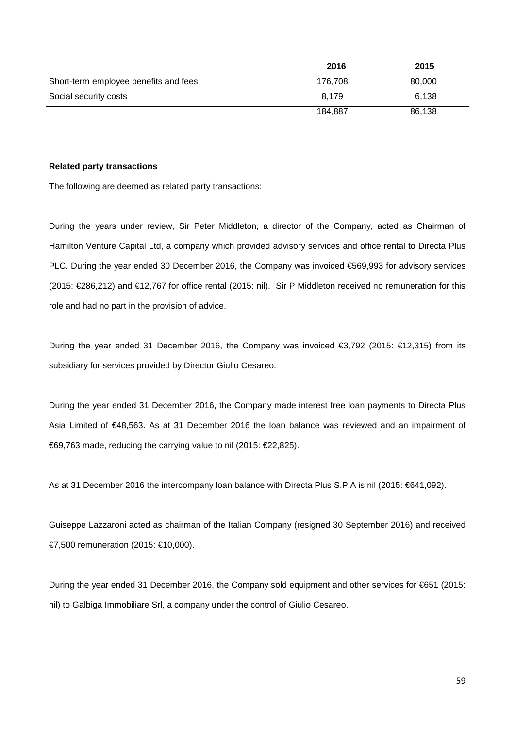|                                       | 2016    | 2015   |  |
|---------------------------------------|---------|--------|--|
| Short-term employee benefits and fees | 176.708 | 80,000 |  |
| Social security costs                 | 8.179   | 6,138  |  |
|                                       | 184.887 | 86,138 |  |

## **Related party transactions**

The following are deemed as related party transactions:

During the years under review, Sir Peter Middleton, a director of the Company, acted as Chairman of Hamilton Venture Capital Ltd, a company which provided advisory services and office rental to Directa Plus PLC. During the year ended 30 December 2016, the Company was invoiced €569,993 for advisory services (2015: €286,212) and €12,767 for office rental (2015: nil). Sir P Middleton received no remuneration for this role and had no part in the provision of advice.

During the year ended 31 December 2016, the Company was invoiced €3,792 (2015: €12,315) from its subsidiary for services provided by Director Giulio Cesareo.

During the year ended 31 December 2016, the Company made interest free loan payments to Directa Plus Asia Limited of €48,563. As at 31 December 2016 the loan balance was reviewed and an impairment of €69,763 made, reducing the carrying value to nil (2015: €22,825).

As at 31 December 2016 the intercompany loan balance with Directa Plus S.P.A is nil (2015: €641,092).

Guiseppe Lazzaroni acted as chairman of the Italian Company (resigned 30 September 2016) and received €7,500 remuneration (2015: €10,000).

During the year ended 31 December 2016, the Company sold equipment and other services for €651 (2015: nil) to Galbiga Immobiliare Srl, a company under the control of Giulio Cesareo.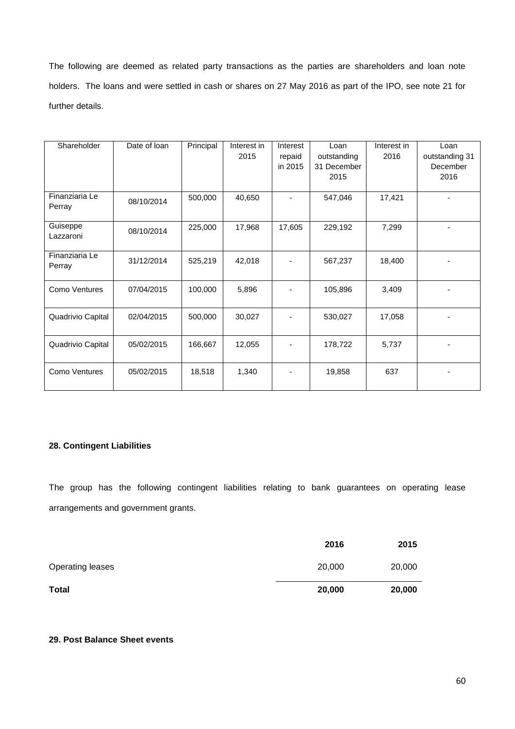The following are deemed as related party transactions as the parties are shareholders and loan note holders. The loans and were settled in cash or shares on 27 May 2016 as part of the IPO, see note 21 for further details.

| Shareholder       | Date of loan | Principal | Interest in | Interest | Loan        | Interest in | Loan           |
|-------------------|--------------|-----------|-------------|----------|-------------|-------------|----------------|
|                   |              |           | 2015        | repaid   | outstanding | 2016        | outstanding 31 |
|                   |              |           |             | in 2015  | 31 December |             | December       |
|                   |              |           |             |          |             |             |                |
|                   |              |           |             |          | 2015        |             | 2016           |
|                   |              |           |             |          |             |             |                |
| Finanziaria Le    | 08/10/2014   | 500,000   | 40,650      |          | 547,046     | 17,421      |                |
| Perray            |              |           |             |          |             |             |                |
|                   |              |           |             |          |             |             |                |
| Guiseppe          | 08/10/2014   | 225,000   | 17,968      | 17,605   | 229,192     | 7,299       |                |
| Lazzaroni         |              |           |             |          |             |             |                |
|                   |              |           |             |          |             |             |                |
| Finanziaria Le    | 31/12/2014   | 525,219   | 42,018      |          | 567,237     | 18,400      |                |
| Perray            |              |           |             |          |             |             |                |
|                   |              |           |             |          |             |             |                |
| Como Ventures     | 07/04/2015   | 100,000   | 5,896       |          | 105,896     | 3,409       |                |
|                   |              |           |             |          |             |             |                |
|                   |              |           |             |          |             |             |                |
| Quadrivio Capital | 02/04/2015   | 500,000   | 30,027      |          | 530,027     | 17,058      |                |
|                   |              |           |             |          |             |             |                |
|                   |              |           |             |          |             |             |                |
| Quadrivio Capital | 05/02/2015   | 166,667   | 12,055      |          | 178,722     | 5,737       |                |
|                   |              |           |             |          |             |             |                |
|                   |              |           |             |          |             |             |                |
| Como Ventures     | 05/02/2015   | 18,518    | 1,340       |          | 19,858      | 637         |                |
|                   |              |           |             |          |             |             |                |
|                   |              |           |             |          |             |             |                |

# **28. Contingent Liabilities**

The group has the following contingent liabilities relating to bank guarantees on operating lease arrangements and government grants.

|                         | 2016   | 2015   |
|-------------------------|--------|--------|
| <b>Operating leases</b> | 20,000 | 20,000 |
| <b>Total</b>            | 20,000 | 20,000 |

# **29. Post Balance Sheet events**